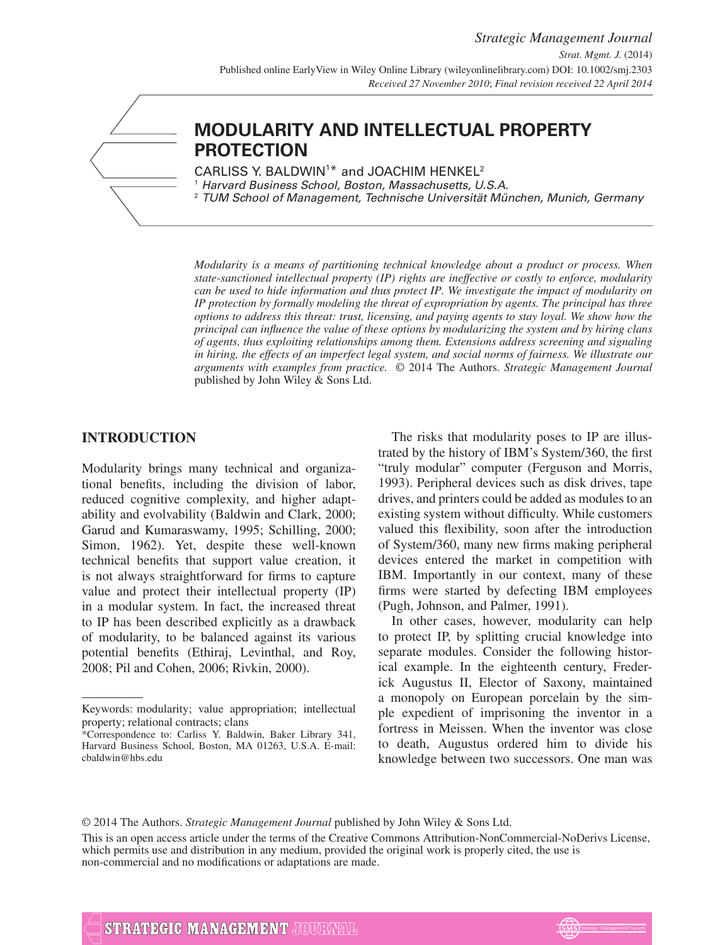

*Modularity is a means of partitioning technical knowledge about a product or process. When state-sanctioned intellectual property (IP) rights are ineffective or costly to enforce, modularity can be used to hide information and thus protect IP. We investigate the impact of modularity on IP protection by formally modeling the threat of expropriation by agents. The principal has three options to address this threat: trust, licensing, and paying agents to stay loyal. We show how the principal can influence the value of these options by modularizing the system and by hiring clans of agents, thus exploiting relationships among them. Extensions address screening and signaling in hiring, the effects of an imperfect legal system, and social norms of fairness. We illustrate our arguments with examples from practice.* © 2014 The Authors. *Strategic Management Journal* published by John Wiley & Sons Ltd.

## **INTRODUCTION**

Modularity brings many technical and organizational benefits, including the division of labor, reduced cognitive complexity, and higher adaptability and evolvability (Baldwin and Clark, 2000; Garud and Kumaraswamy, 1995; Schilling, 2000; Simon, 1962). Yet, despite these well-known technical benefits that support value creation, it is not always straightforward for firms to capture value and protect their intellectual property (IP) in a modular system. In fact, the increased threat to IP has been described explicitly as a drawback of modularity, to be balanced against its various potential benefits (Ethiraj, Levinthal, and Roy, 2008; Pil and Cohen, 2006; Rivkin, 2000).

The risks that modularity poses to IP are illustrated by the history of IBM's System/360, the first "truly modular" computer (Ferguson and Morris, 1993). Peripheral devices such as disk drives, tape drives, and printers could be added as modules to an existing system without difficulty. While customers valued this flexibility, soon after the introduction of System/360, many new firms making peripheral devices entered the market in competition with IBM. Importantly in our context, many of these firms were started by defecting IBM employees (Pugh, Johnson, and Palmer, 1991).

In other cases, however, modularity can help to protect IP, by splitting crucial knowledge into separate modules. Consider the following historical example. In the eighteenth century, Frederick Augustus II, Elector of Saxony, maintained a monopoly on European porcelain by the simple expedient of imprisoning the inventor in a fortress in Meissen. When the inventor was close to death, Augustus ordered him to divide his knowledge between two successors. One man was

© 2014 The Authors. *Strategic Management Journal* published by John Wiley & Sons Ltd.

This is an open access article under the terms of the Creative Commons Attribution-NonCommercial-NoDerivs License, which permits use and distribution in any medium, provided the original work is properly cited, the use is non-commercial and no modifications or adaptations are made.



Keywords: modularity; value appropriation; intellectual property; relational contracts; clans

<sup>\*</sup>Correspondence to: Carliss Y. Baldwin, Baker Library 341, Harvard Business School, Boston, MA 01263, U.S.A. E-mail: cbaldwin@hbs.edu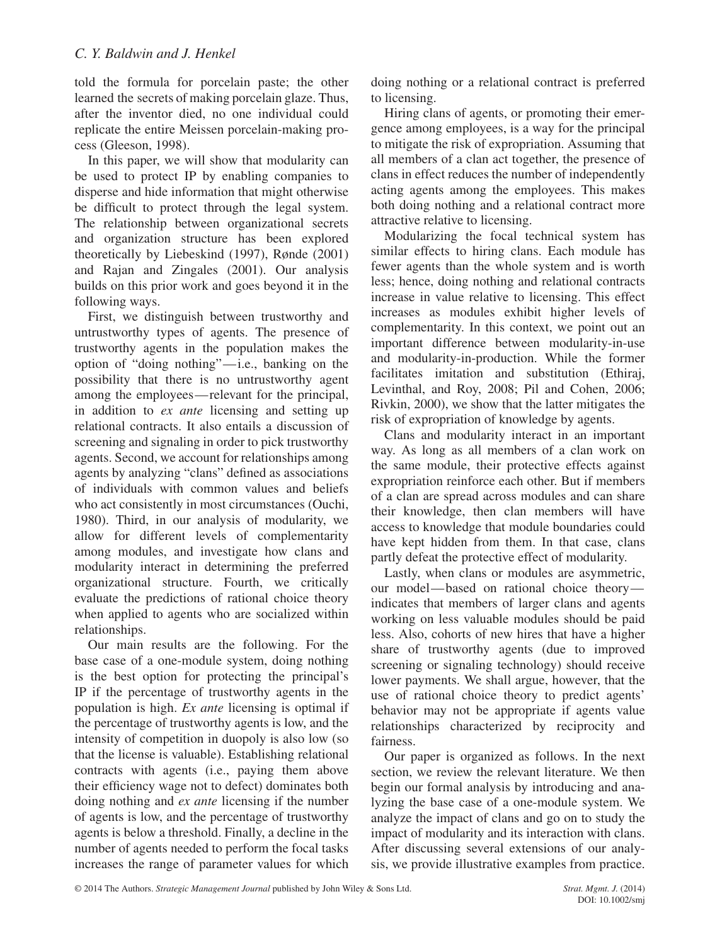told the formula for porcelain paste; the other learned the secrets of making porcelain glaze. Thus, after the inventor died, no one individual could replicate the entire Meissen porcelain-making process (Gleeson, 1998).

In this paper, we will show that modularity can be used to protect IP by enabling companies to disperse and hide information that might otherwise be difficult to protect through the legal system. The relationship between organizational secrets and organization structure has been explored theoretically by Liebeskind (1997), Rønde (2001) and Rajan and Zingales (2001). Our analysis builds on this prior work and goes beyond it in the following ways.

First, we distinguish between trustworthy and untrustworthy types of agents. The presence of trustworthy agents in the population makes the option of "doing nothing"—i.e., banking on the possibility that there is no untrustworthy agent among the employees— relevant for the principal, in addition to *ex ante* licensing and setting up relational contracts. It also entails a discussion of screening and signaling in order to pick trustworthy agents. Second, we account for relationships among agents by analyzing "clans" defined as associations of individuals with common values and beliefs who act consistently in most circumstances (Ouchi, 1980). Third, in our analysis of modularity, we allow for different levels of complementarity among modules, and investigate how clans and modularity interact in determining the preferred organizational structure. Fourth, we critically evaluate the predictions of rational choice theory when applied to agents who are socialized within relationships.

Our main results are the following. For the base case of a one-module system, doing nothing is the best option for protecting the principal's IP if the percentage of trustworthy agents in the population is high. *Ex ante* licensing is optimal if the percentage of trustworthy agents is low, and the intensity of competition in duopoly is also low (so that the license is valuable). Establishing relational contracts with agents (i.e., paying them above their efficiency wage not to defect) dominates both doing nothing and *ex ante* licensing if the number of agents is low, and the percentage of trustworthy agents is below a threshold. Finally, a decline in the number of agents needed to perform the focal tasks increases the range of parameter values for which doing nothing or a relational contract is preferred to licensing.

Hiring clans of agents, or promoting their emergence among employees, is a way for the principal to mitigate the risk of expropriation. Assuming that all members of a clan act together, the presence of clans in effect reduces the number of independently acting agents among the employees. This makes both doing nothing and a relational contract more attractive relative to licensing.

Modularizing the focal technical system has similar effects to hiring clans. Each module has fewer agents than the whole system and is worth less; hence, doing nothing and relational contracts increase in value relative to licensing. This effect increases as modules exhibit higher levels of complementarity. In this context, we point out an important difference between modularity-in-use and modularity-in-production. While the former facilitates imitation and substitution (Ethiraj, Levinthal, and Roy, 2008; Pil and Cohen, 2006; Rivkin, 2000), we show that the latter mitigates the risk of expropriation of knowledge by agents.

Clans and modularity interact in an important way. As long as all members of a clan work on the same module, their protective effects against expropriation reinforce each other. But if members of a clan are spread across modules and can share their knowledge, then clan members will have access to knowledge that module boundaries could have kept hidden from them. In that case, clans partly defeat the protective effect of modularity.

Lastly, when clans or modules are asymmetric, our model—based on rational choice theory indicates that members of larger clans and agents working on less valuable modules should be paid less. Also, cohorts of new hires that have a higher share of trustworthy agents (due to improved screening or signaling technology) should receive lower payments. We shall argue, however, that the use of rational choice theory to predict agents' behavior may not be appropriate if agents value relationships characterized by reciprocity and fairness.

Our paper is organized as follows. In the next section, we review the relevant literature. We then begin our formal analysis by introducing and analyzing the base case of a one-module system. We analyze the impact of clans and go on to study the impact of modularity and its interaction with clans. After discussing several extensions of our analysis, we provide illustrative examples from practice.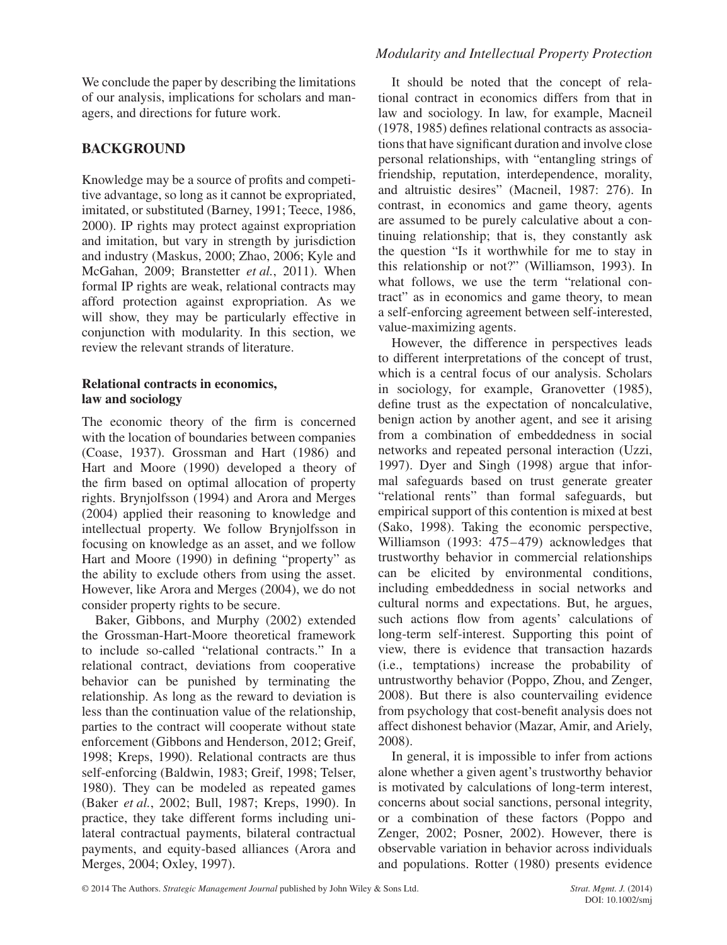We conclude the paper by describing the limitations of our analysis, implications for scholars and managers, and directions for future work.

# **BACKGROUND**

Knowledge may be a source of profits and competitive advantage, so long as it cannot be expropriated, imitated, or substituted (Barney, 1991; Teece, 1986, 2000). IP rights may protect against expropriation and imitation, but vary in strength by jurisdiction and industry (Maskus, 2000; Zhao, 2006; Kyle and McGahan, 2009; Branstetter *et al.*, 2011). When formal IP rights are weak, relational contracts may afford protection against expropriation. As we will show, they may be particularly effective in conjunction with modularity. In this section, we review the relevant strands of literature.

## **Relational contracts in economics, law and sociology**

The economic theory of the firm is concerned with the location of boundaries between companies (Coase, 1937). Grossman and Hart (1986) and Hart and Moore (1990) developed a theory of the firm based on optimal allocation of property rights. Brynjolfsson (1994) and Arora and Merges (2004) applied their reasoning to knowledge and intellectual property. We follow Brynjolfsson in focusing on knowledge as an asset, and we follow Hart and Moore (1990) in defining "property" as the ability to exclude others from using the asset. However, like Arora and Merges (2004), we do not consider property rights to be secure.

Baker, Gibbons, and Murphy (2002) extended the Grossman-Hart-Moore theoretical framework to include so-called "relational contracts." In a relational contract, deviations from cooperative behavior can be punished by terminating the relationship. As long as the reward to deviation is less than the continuation value of the relationship, parties to the contract will cooperate without state enforcement (Gibbons and Henderson, 2012; Greif, 1998; Kreps, 1990). Relational contracts are thus self-enforcing (Baldwin, 1983; Greif, 1998; Telser, 1980). They can be modeled as repeated games (Baker *et al.*, 2002; Bull, 1987; Kreps, 1990). In practice, they take different forms including unilateral contractual payments, bilateral contractual payments, and equity-based alliances (Arora and Merges, 2004; Oxley, 1997).

# *Modularity and Intellectual Property Protection*

It should be noted that the concept of relational contract in economics differs from that in law and sociology. In law, for example, Macneil (1978, 1985) defines relational contracts as associations that have significant duration and involve close personal relationships, with "entangling strings of friendship, reputation, interdependence, morality, and altruistic desires" (Macneil, 1987: 276). In contrast, in economics and game theory, agents are assumed to be purely calculative about a continuing relationship; that is, they constantly ask the question "Is it worthwhile for me to stay in this relationship or not?" (Williamson, 1993). In what follows, we use the term "relational contract" as in economics and game theory, to mean a self-enforcing agreement between self-interested, value-maximizing agents.

However, the difference in perspectives leads to different interpretations of the concept of trust, which is a central focus of our analysis. Scholars in sociology, for example, Granovetter (1985), define trust as the expectation of noncalculative, benign action by another agent, and see it arising from a combination of embeddedness in social networks and repeated personal interaction (Uzzi, 1997). Dyer and Singh (1998) argue that informal safeguards based on trust generate greater "relational rents" than formal safeguards, but empirical support of this contention is mixed at best (Sako, 1998). Taking the economic perspective, Williamson (1993: 475–479) acknowledges that trustworthy behavior in commercial relationships can be elicited by environmental conditions, including embeddedness in social networks and cultural norms and expectations. But, he argues, such actions flow from agents' calculations of long-term self-interest. Supporting this point of view, there is evidence that transaction hazards (i.e., temptations) increase the probability of untrustworthy behavior (Poppo, Zhou, and Zenger, 2008). But there is also countervailing evidence from psychology that cost-benefit analysis does not affect dishonest behavior (Mazar, Amir, and Ariely, 2008).

In general, it is impossible to infer from actions alone whether a given agent's trustworthy behavior is motivated by calculations of long-term interest, concerns about social sanctions, personal integrity, or a combination of these factors (Poppo and Zenger, 2002; Posner, 2002). However, there is observable variation in behavior across individuals and populations. Rotter (1980) presents evidence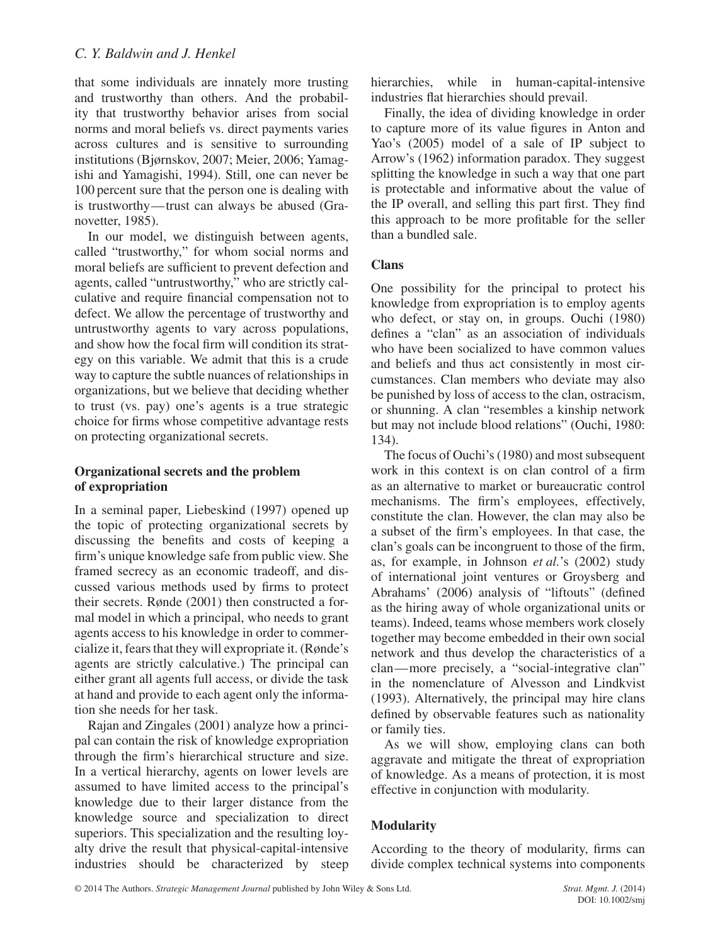that some individuals are innately more trusting and trustworthy than others. And the probability that trustworthy behavior arises from social norms and moral beliefs vs. direct payments varies across cultures and is sensitive to surrounding institutions (Bjørnskov, 2007; Meier, 2006; Yamagishi and Yamagishi, 1994). Still, one can never be 100 percent sure that the person one is dealing with is trustworthy—trust can always be abused (Granovetter, 1985).

In our model, we distinguish between agents, called "trustworthy," for whom social norms and moral beliefs are sufficient to prevent defection and agents, called "untrustworthy," who are strictly calculative and require financial compensation not to defect. We allow the percentage of trustworthy and untrustworthy agents to vary across populations, and show how the focal firm will condition its strategy on this variable. We admit that this is a crude way to capture the subtle nuances of relationships in organizations, but we believe that deciding whether to trust (vs. pay) one's agents is a true strategic choice for firms whose competitive advantage rests on protecting organizational secrets.

## **Organizational secrets and the problem of expropriation**

In a seminal paper, Liebeskind (1997) opened up the topic of protecting organizational secrets by discussing the benefits and costs of keeping a firm's unique knowledge safe from public view. She framed secrecy as an economic tradeoff, and discussed various methods used by firms to protect their secrets. Rønde (2001) then constructed a formal model in which a principal, who needs to grant agents access to his knowledge in order to commercialize it, fears that they will expropriate it. (Rønde's agents are strictly calculative.) The principal can either grant all agents full access, or divide the task at hand and provide to each agent only the information she needs for her task.

Rajan and Zingales (2001) analyze how a principal can contain the risk of knowledge expropriation through the firm's hierarchical structure and size. In a vertical hierarchy, agents on lower levels are assumed to have limited access to the principal's knowledge due to their larger distance from the knowledge source and specialization to direct superiors. This specialization and the resulting loyalty drive the result that physical-capital-intensive industries should be characterized by steep hierarchies, while in human-capital-intensive industries flat hierarchies should prevail.

Finally, the idea of dividing knowledge in order to capture more of its value figures in Anton and Yao's (2005) model of a sale of IP subject to Arrow's (1962) information paradox. They suggest splitting the knowledge in such a way that one part is protectable and informative about the value of the IP overall, and selling this part first. They find this approach to be more profitable for the seller than a bundled sale.

# **Clans**

One possibility for the principal to protect his knowledge from expropriation is to employ agents who defect, or stay on, in groups. Ouchi (1980) defines a "clan" as an association of individuals who have been socialized to have common values and beliefs and thus act consistently in most circumstances. Clan members who deviate may also be punished by loss of access to the clan, ostracism, or shunning. A clan "resembles a kinship network but may not include blood relations" (Ouchi, 1980: 134).

The focus of Ouchi's (1980) and most subsequent work in this context is on clan control of a firm as an alternative to market or bureaucratic control mechanisms. The firm's employees, effectively, constitute the clan. However, the clan may also be a subset of the firm's employees. In that case, the clan's goals can be incongruent to those of the firm, as, for example, in Johnson *et al.*'s (2002) study of international joint ventures or Groysberg and Abrahams' (2006) analysis of "liftouts" (defined as the hiring away of whole organizational units or teams). Indeed, teams whose members work closely together may become embedded in their own social network and thus develop the characteristics of a clan—more precisely, a "social-integrative clan" in the nomenclature of Alvesson and Lindkvist (1993). Alternatively, the principal may hire clans defined by observable features such as nationality or family ties.

As we will show, employing clans can both aggravate and mitigate the threat of expropriation of knowledge. As a means of protection, it is most effective in conjunction with modularity.

# **Modularity**

According to the theory of modularity, firms can divide complex technical systems into components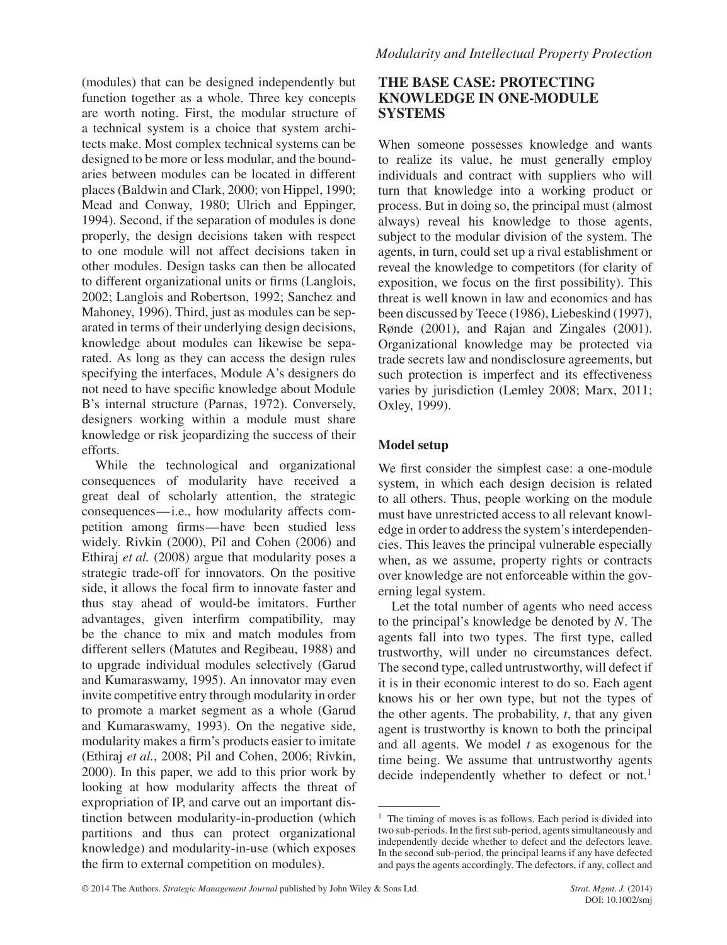(modules) that can be designed independently but function together as a whole. Three key concepts are worth noting. First, the modular structure of a technical system is a choice that system architects make. Most complex technical systems can be designed to be more or less modular, and the boundaries between modules can be located in different places (Baldwin and Clark, 2000; von Hippel, 1990; Mead and Conway, 1980; Ulrich and Eppinger, 1994). Second, if the separation of modules is done properly, the design decisions taken with respect to one module will not affect decisions taken in other modules. Design tasks can then be allocated to different organizational units or firms (Langlois, 2002; Langlois and Robertson, 1992; Sanchez and Mahoney, 1996). Third, just as modules can be separated in terms of their underlying design decisions, knowledge about modules can likewise be separated. As long as they can access the design rules specifying the interfaces, Module A's designers do not need to have specific knowledge about Module B's internal structure (Parnas, 1972). Conversely, designers working within a module must share knowledge or risk jeopardizing the success of their efforts.

While the technological and organizational consequences of modularity have received a great deal of scholarly attention, the strategic consequences—i.e., how modularity affects competition among firms—have been studied less widely. Rivkin (2000), Pil and Cohen (2006) and Ethiraj *et al.* (2008) argue that modularity poses a strategic trade-off for innovators. On the positive side, it allows the focal firm to innovate faster and thus stay ahead of would-be imitators. Further advantages, given interfirm compatibility, may be the chance to mix and match modules from different sellers (Matutes and Regibeau, 1988) and to upgrade individual modules selectively (Garud and Kumaraswamy, 1995). An innovator may even invite competitive entry through modularity in order to promote a market segment as a whole (Garud and Kumaraswamy, 1993). On the negative side, modularity makes a firm's products easier to imitate (Ethiraj *et al.*, 2008; Pil and Cohen, 2006; Rivkin, 2000). In this paper, we add to this prior work by looking at how modularity affects the threat of expropriation of IP, and carve out an important distinction between modularity-in-production (which partitions and thus can protect organizational knowledge) and modularity-in-use (which exposes the firm to external competition on modules).

# **THE BASE CASE: PROTECTING KNOWLEDGE IN ONE-MODULE SYSTEMS**

When someone possesses knowledge and wants to realize its value, he must generally employ individuals and contract with suppliers who will turn that knowledge into a working product or process. But in doing so, the principal must (almost always) reveal his knowledge to those agents, subject to the modular division of the system. The agents, in turn, could set up a rival establishment or reveal the knowledge to competitors (for clarity of exposition, we focus on the first possibility). This threat is well known in law and economics and has been discussed by Teece (1986), Liebeskind (1997), Rønde (2001), and Rajan and Zingales (2001). Organizational knowledge may be protected via trade secrets law and nondisclosure agreements, but such protection is imperfect and its effectiveness varies by jurisdiction (Lemley 2008; Marx, 2011; Oxley, 1999).

# **Model setup**

We first consider the simplest case: a one-module system, in which each design decision is related to all others. Thus, people working on the module must have unrestricted access to all relevant knowledge in order to address the system's interdependencies. This leaves the principal vulnerable especially when, as we assume, property rights or contracts over knowledge are not enforceable within the governing legal system.

Let the total number of agents who need access to the principal's knowledge be denoted by *N*. The agents fall into two types. The first type, called trustworthy, will under no circumstances defect. The second type, called untrustworthy, will defect if it is in their economic interest to do so. Each agent knows his or her own type, but not the types of the other agents. The probability, *t*, that any given agent is trustworthy is known to both the principal and all agents. We model *t* as exogenous for the time being. We assume that untrustworthy agents decide independently whether to defect or not.<sup>1</sup>

 $1$  The timing of moves is as follows. Each period is divided into two sub-periods. In the first sub-period, agents simultaneously and independently decide whether to defect and the defectors leave. In the second sub-period, the principal learns if any have defected and pays the agents accordingly. The defectors, if any, collect and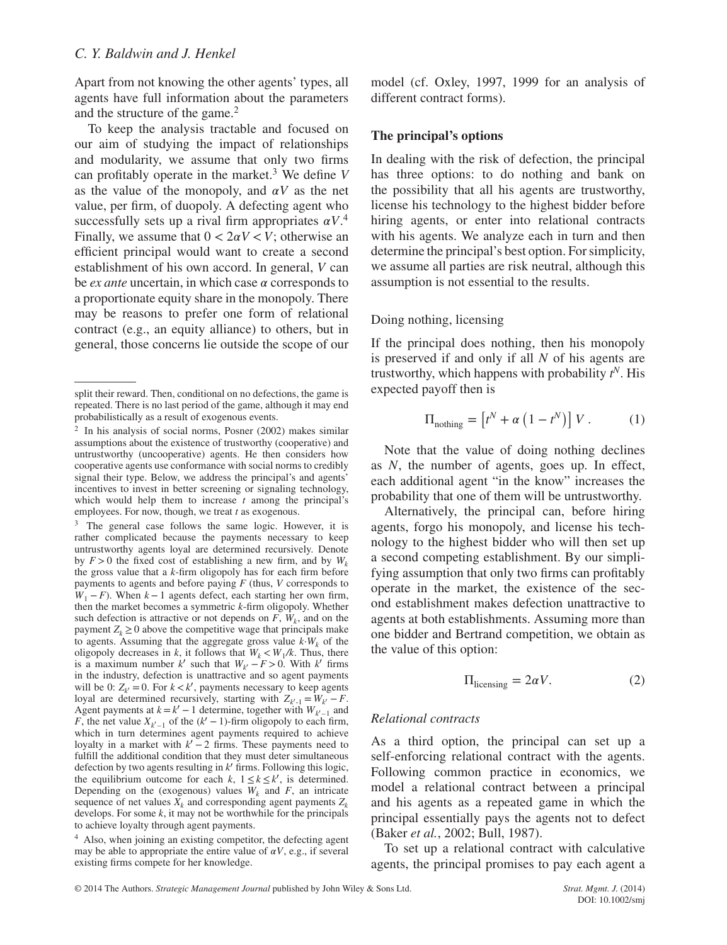Apart from not knowing the other agents' types, all agents have full information about the parameters and the structure of the game.<sup>2</sup>

To keep the analysis tractable and focused on our aim of studying the impact of relationships and modularity, we assume that only two firms can profitably operate in the market.<sup>3</sup> We define  $V$ as the value of the monopoly, and  $\alpha V$  as the net value, per firm, of duopoly. A defecting agent who successfully sets up a rival firm appropriates  $\alpha V$ .<sup>4</sup> Finally, we assume that  $0 < 2\alpha V < V$ ; otherwise an efficient principal would want to create a second establishment of his own accord. In general, *V* can be *ex ante* uncertain, in which case  $\alpha$  corresponds to a proportionate equity share in the monopoly. There may be reasons to prefer one form of relational contract (e.g., an equity alliance) to others, but in general, those concerns lie outside the scope of our

<sup>3</sup> The general case follows the same logic. However, it is rather complicated because the payments necessary to keep untrustworthy agents loyal are determined recursively. Denote by  $F > 0$  the fixed cost of establishing a new firm, and by  $W_k$ the gross value that a *k*-firm oligopoly has for each firm before payments to agents and before paying *F* (thus, *V* corresponds to  $W_1 - F$ ). When  $k - 1$  agents defect, each starting her own firm, then the market becomes a symmetric *k*-firm oligopoly. Whether such defection is attractive or not depends on  $F$ ,  $W_k$ , and on the payment  $Z_k \geq 0$  above the competitive wage that principals make to agents. Assuming that the aggregate gross value  $k \cdot W_k$  of the oligopoly decreases in *k*, it follows that  $W_k < W_1/k$ . Thus, there is a maximum number *k'* such that  $W_{k'} - F > 0$ . With *k'* firms in the industry, defection is unattractive and so agent payments will be 0:  $Z_{k'} = 0$ . For  $k < k'$ , payments necessary to keep agents loyal are determined recursively, starting with  $Z_{k' - 1} = W_{k'} - F$ . Agent payments at  $k = k' - 1$  determine, together with  $W_{k'-1}$  and *F*, the net value  $X_{k' - 1}$  of the  $(k' - 1)$ -firm oligopoly to each firm, which in turn determines agent payments required to achieve loyalty in a market with *k*′ −2 firms. These payments need to fulfill the additional condition that they must deter simultaneous defection by two agents resulting in *k*′ firms. Following this logic, the equilibrium outcome for each  $k$ ,  $1 \leq k \leq k'$ , is determined. Depending on the (exogenous) values  $W_k$  and  $F$ , an intricate sequence of net values  $\overline{X}_k$  and corresponding agent payments  $Z_k$ develops. For some *k*, it may not be worthwhile for the principals to achieve loyalty through agent payments.

<sup>4</sup> Also, when joining an existing competitor, the defecting agent may be able to appropriate the entire value of  $\alpha V$ , e.g., if several existing firms compete for her knowledge.

model (cf. Oxley, 1997, 1999 for an analysis of different contract forms).

### **The principal's options**

In dealing with the risk of defection, the principal has three options: to do nothing and bank on the possibility that all his agents are trustworthy, license his technology to the highest bidder before hiring agents, or enter into relational contracts with his agents. We analyze each in turn and then determine the principal's best option. For simplicity, we assume all parties are risk neutral, although this assumption is not essential to the results.

#### Doing nothing, licensing

If the principal does nothing, then his monopoly is preserved if and only if all *N* of his agents are trustworthy, which happens with probability  $t^N$ . His expected payoff then is

$$
\Pi_{\text{nothing}} = \left[ t^N + \alpha \left( 1 - t^N \right) \right] V . \tag{1}
$$

Note that the value of doing nothing declines as *N*, the number of agents, goes up. In effect, each additional agent "in the know" increases the probability that one of them will be untrustworthy.

Alternatively, the principal can, before hiring agents, forgo his monopoly, and license his technology to the highest bidder who will then set up a second competing establishment. By our simplifying assumption that only two firms can profitably operate in the market, the existence of the second establishment makes defection unattractive to agents at both establishments. Assuming more than one bidder and Bertrand competition, we obtain as the value of this option:

$$
\Pi_{\text{licensing}} = 2\alpha V. \tag{2}
$$

#### *Relational contracts*

As a third option, the principal can set up a self-enforcing relational contract with the agents. Following common practice in economics, we model a relational contract between a principal and his agents as a repeated game in which the principal essentially pays the agents not to defect (Baker *et al.*, 2002; Bull, 1987).

To set up a relational contract with calculative agents, the principal promises to pay each agent a

split their reward. Then, conditional on no defections, the game is repeated. There is no last period of the game, although it may end probabilistically as a result of exogenous events.

<sup>2</sup> In his analysis of social norms, Posner (2002) makes similar assumptions about the existence of trustworthy (cooperative) and untrustworthy (uncooperative) agents. He then considers how cooperative agents use conformance with social norms to credibly signal their type. Below, we address the principal's and agents' incentives to invest in better screening or signaling technology, which would help them to increase *t* among the principal's employees. For now, though, we treat *t* as exogenous.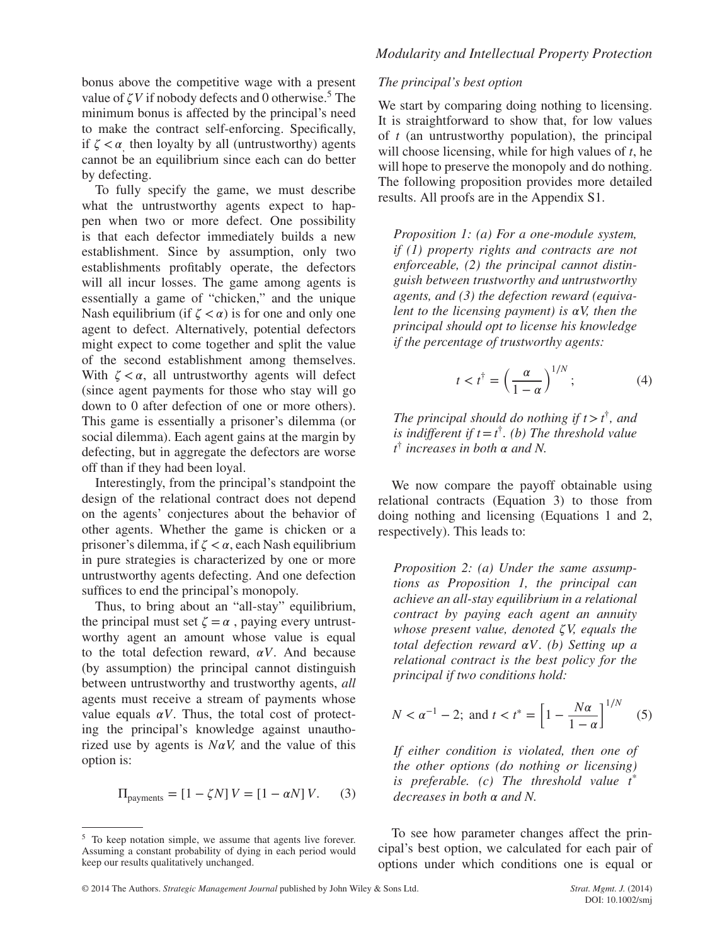bonus above the competitive wage with a present value of  $\zeta V$  if nobody defects and 0 otherwise.<sup>5</sup> The minimum bonus is affected by the principal's need to make the contract self-enforcing. Specifically, if  $\zeta < \alpha$  then loyalty by all (untrustworthy) agents cannot be an equilibrium since each can do better by defecting.

To fully specify the game, we must describe what the untrustworthy agents expect to happen when two or more defect. One possibility is that each defector immediately builds a new establishment. Since by assumption, only two establishments profitably operate, the defectors will all incur losses. The game among agents is essentially a game of "chicken," and the unique Nash equilibrium (if  $\zeta < \alpha$ ) is for one and only one agent to defect. Alternatively, potential defectors might expect to come together and split the value of the second establishment among themselves. With  $\zeta < \alpha$ , all untrustworthy agents will defect (since agent payments for those who stay will go down to 0 after defection of one or more others). This game is essentially a prisoner's dilemma (or social dilemma). Each agent gains at the margin by defecting, but in aggregate the defectors are worse off than if they had been loyal.

Interestingly, from the principal's standpoint the design of the relational contract does not depend on the agents' conjectures about the behavior of other agents. Whether the game is chicken or a prisoner's dilemma, if  $\zeta < \alpha$ , each Nash equilibrium in pure strategies is characterized by one or more untrustworthy agents defecting. And one defection suffices to end the principal's monopoly.

Thus, to bring about an "all-stay" equilibrium, the principal must set  $\zeta = \alpha$ , paying every untrustworthy agent an amount whose value is equal to the total defection reward,  $\alpha V$ . And because (by assumption) the principal cannot distinguish between untrustworthy and trustworthy agents, *all* agents must receive a stream of payments whose value equals  $\alpha V$ . Thus, the total cost of protecting the principal's knowledge against unauthorized use by agents is  $N\alpha V$ , and the value of this option is:

$$
\Pi_{\text{payments}} = [1 - \zeta N] V = [1 - \alpha N] V. \tag{3}
$$

## *Modularity and Intellectual Property Protection*

#### *The principal's best option*

We start by comparing doing nothing to licensing. It is straightforward to show that, for low values of *t* (an untrustworthy population), the principal will choose licensing, while for high values of *t*, he will hope to preserve the monopoly and do nothing. The following proposition provides more detailed results. All proofs are in the Appendix S1.

*Proposition 1: (a) For a one-module system, if (1) property rights and contracts are not enforceable, (2) the principal cannot distinguish between trustworthy and untrustworthy agents, and (3) the defection reward (equivalent to the licensing payment) is*  $\alpha V$ *, then the principal should opt to license his knowledge if the percentage of trustworthy agents:*

$$
t < t^{\dagger} = \left(\frac{\alpha}{1-\alpha}\right)^{1/N};\tag{4}
$$

*The principal should do nothing if t>t* †*, and is indifferent if t*=*t* †*. (b) The threshold value t* † *increases in both and N.*

We now compare the payoff obtainable using relational contracts (Equation 3) to those from doing nothing and licensing (Equations 1 and 2, respectively). This leads to:

*Proposition 2: (a) Under the same assumptions as Proposition 1, the principal can achieve an all-stay equilibrium in a relational contract by paying each agent an annuity whose present value, denoted V, equals the total defection reward*  $\alpha V$ . *(b)* Setting up a *relational contract is the best policy for the principal if two conditions hold:*

$$
N < \alpha^{-1} - 2; \text{ and } t < t^* = \left[1 - \frac{N\alpha}{1 - \alpha}\right]^{1/N} \quad (5)
$$

*If either condition is violated, then one of the other options (do nothing or licensing) is preferable. (c) The threshold value t\* decreases in both and N.*

To see how parameter changes affect the principal's best option, we calculated for each pair of options under which conditions one is equal or

<sup>&</sup>lt;sup>5</sup> To keep notation simple, we assume that agents live forever. Assuming a constant probability of dying in each period would keep our results qualitatively unchanged.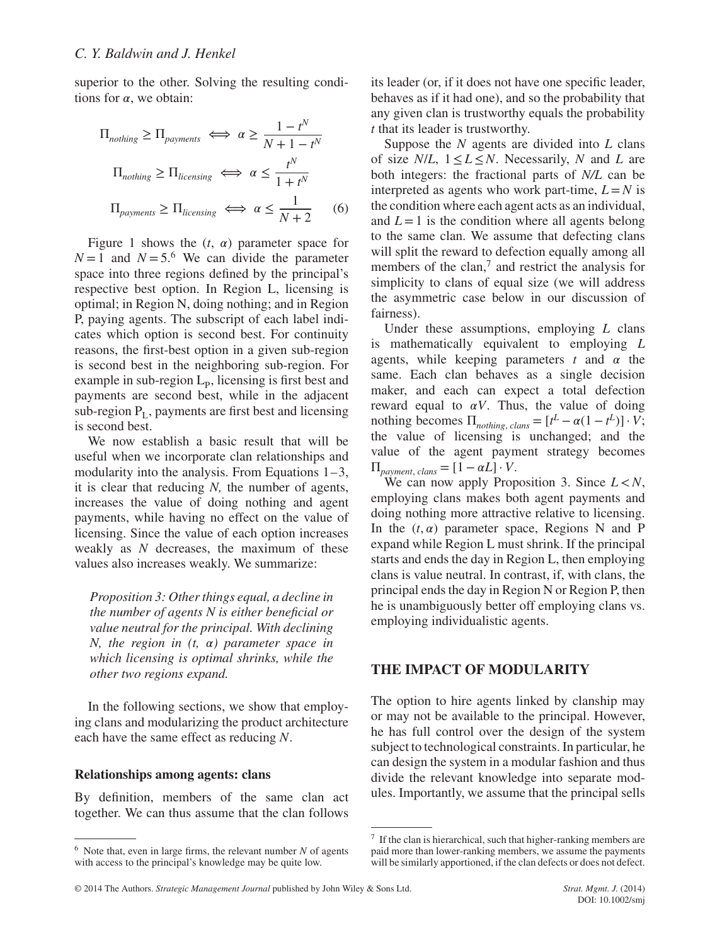superior to the other. Solving the resulting conditions for  $\alpha$ , we obtain:

$$
\Pi_{nothing} \ge \Pi_{payments} \iff \alpha \ge \frac{1 - t^N}{N + 1 - t^N}
$$
\n
$$
\Pi_{nothing} \ge \Pi_{licensing} \iff \alpha \le \frac{t^N}{1 + t^N}
$$
\n
$$
\Pi_{payments} \ge \Pi_{licensing} \iff \alpha \le \frac{1}{N + 2} \tag{6}
$$

Figure 1 shows the  $(t, \alpha)$  parameter space for  $N = 1$  and  $N = 5.6$  We can divide the parameter space into three regions defined by the principal's respective best option. In Region L, licensing is optimal; in Region N, doing nothing; and in Region P, paying agents. The subscript of each label indicates which option is second best. For continuity reasons, the first-best option in a given sub-region is second best in the neighboring sub-region. For example in sub-region  $L_p$ , licensing is first best and payments are second best, while in the adjacent sub-region  $P<sub>L</sub>$ , payments are first best and licensing is second best.

We now establish a basic result that will be useful when we incorporate clan relationships and modularity into the analysis. From Equations  $1-3$ , it is clear that reducing *N,* the number of agents, increases the value of doing nothing and agent payments, while having no effect on the value of licensing. Since the value of each option increases weakly as *N* decreases, the maximum of these values also increases weakly. We summarize:

*Proposition 3: Other things equal, a decline in the number of agents N is either beneficial or value neutral for the principal. With declining N, the region in*  $(t, \alpha)$  *parameter space in which licensing is optimal shrinks, while the other two regions expand.*

In the following sections, we show that employing clans and modularizing the product architecture each have the same effect as reducing *N*.

#### **Relationships among agents: clans**

By definition, members of the same clan act together. We can thus assume that the clan follows

its leader (or, if it does not have one specific leader, behaves as if it had one), and so the probability that any given clan is trustworthy equals the probability *t* that its leader is trustworthy.

Suppose the *N* agents are divided into *L* clans of size  $N/L$ ,  $1 \le L \le N$ . Necessarily, *N* and *L* are both integers: the fractional parts of *N/L* can be interpreted as agents who work part-time,  $L = N$  is the condition where each agent acts as an individual, and  $L=1$  is the condition where all agents belong to the same clan. We assume that defecting clans will split the reward to defection equally among all members of the clan,<sup>7</sup> and restrict the analysis for simplicity to clans of equal size (we will address the asymmetric case below in our discussion of fairness).

Under these assumptions, employing *L* clans is mathematically equivalent to employing *L* agents, while keeping parameters  $t$  and  $\alpha$  the same. Each clan behaves as a single decision maker, and each can expect a total defection reward equal to  $\alpha V$ . Thus, the value of doing nothing becomes  $\Pi_{nothing, \text{ \textit{clans}}} = [t^L - \alpha(1 - t^L)] \cdot V;$ the value of licensing is unchanged; and the value of the agent payment strategy becomes  $\Pi_{\text{payment, class}} = [1 - \alpha L] \cdot V.$ 

We can now apply Proposition 3. Since *L<N*, employing clans makes both agent payments and doing nothing more attractive relative to licensing. In the  $(t, \alpha)$  parameter space, Regions N and P expand while Region L must shrink. If the principal starts and ends the day in Region L, then employing clans is value neutral. In contrast, if, with clans, the principal ends the day in Region N or Region P, then he is unambiguously better off employing clans vs. employing individualistic agents.

## **THE IMPACT OF MODULARITY**

The option to hire agents linked by clanship may or may not be available to the principal. However, he has full control over the design of the system subject to technological constraints. In particular, he can design the system in a modular fashion and thus divide the relevant knowledge into separate modules. Importantly, we assume that the principal sells

 $6$  Note that, even in large firms, the relevant number  $N$  of agents with access to the principal's knowledge may be quite low.

 $7$  If the clan is hierarchical, such that higher-ranking members are paid more than lower-ranking members, we assume the payments will be similarly apportioned, if the clan defects or does not defect.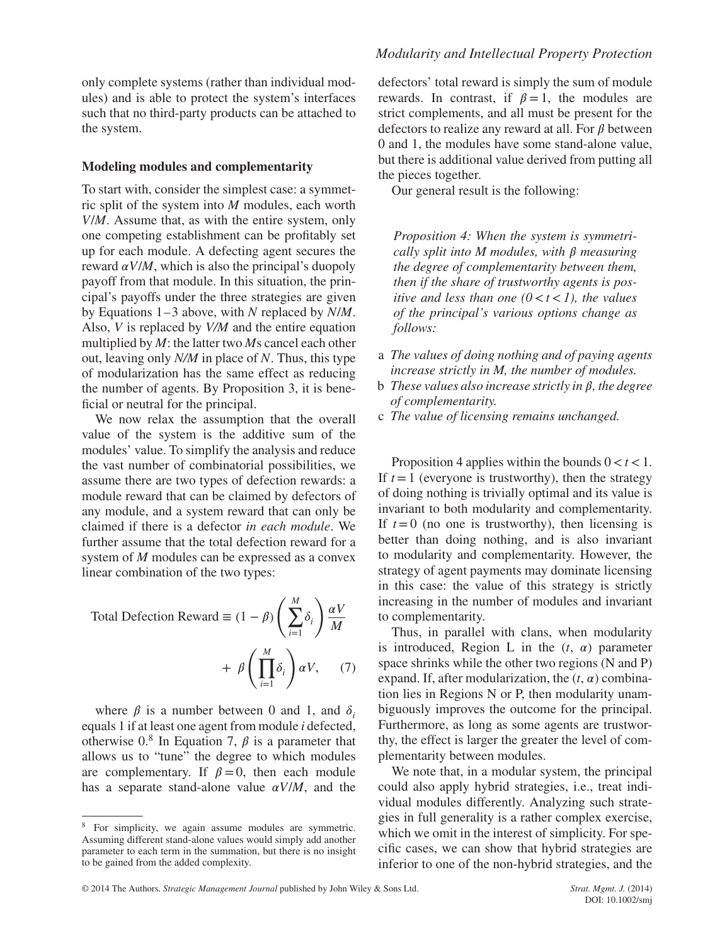only complete systems (rather than individual modules) and is able to protect the system's interfaces such that no third-party products can be attached to the system.

#### **Modeling modules and complementarity**

To start with, consider the simplest case: a symmetric split of the system into *M* modules, each worth *V*/*M*. Assume that, as with the entire system, only one competing establishment can be profitably set up for each module. A defecting agent secures the reward  $\alpha V/M$ , which is also the principal's duopoly payoff from that module. In this situation, the principal's payoffs under the three strategies are given by Equations 1–3 above, with *N* replaced by *N*/*M*. Also, *V* is replaced by *V/M* and the entire equation multiplied by *M*: the latter two *M*s cancel each other out, leaving only *N/M* in place of *N*. Thus, this type of modularization has the same effect as reducing the number of agents. By Proposition 3, it is beneficial or neutral for the principal.

We now relax the assumption that the overall value of the system is the additive sum of the modules' value. To simplify the analysis and reduce the vast number of combinatorial possibilities, we assume there are two types of defection rewards: a module reward that can be claimed by defectors of any module, and a system reward that can only be claimed if there is a defector *in each module*. We further assume that the total defection reward for a system of *M* modules can be expressed as a convex linear combination of the two types:

Total Defection Reward 
$$
\equiv (1 - \beta) \left( \sum_{i=1}^{M} \delta_i \right) \frac{\alpha V}{M}
$$
  
+  $\beta \left( \prod_{i=1}^{M} \delta_i \right) \alpha V$ , (7)

where  $\beta$  is a number between 0 and 1, and  $\delta_i$ equals 1 if at least one agent from module *i* defected, otherwise  $0.8$  In Equation 7,  $\beta$  is a parameter that allows us to "tune" the degree to which modules are complementary. If  $\beta = 0$ , then each module has a separate stand-alone value  $\alpha V/M$ , and the

### *Modularity and Intellectual Property Protection*

defectors' total reward is simply the sum of module rewards. In contrast, if  $\beta = 1$ , the modules are strict complements, and all must be present for the defectors to realize any reward at all. For  $\beta$  between 0 and 1, the modules have some stand-alone value, but there is additional value derived from putting all the pieces together.

Our general result is the following:

*Proposition 4: When the system is symmetrically split into M modules, with measuring the degree of complementarity between them, then if the share of trustworthy agents is positive and less than one*  $(0 < t < 1)$ *, the values of the principal's various options change as follows:*

- a *The values of doing nothing and of paying agents increase strictly in M, the number of modules.*
- $b$  *These values also increase strictly in*  $\beta$ *, the degree of complementarity.*
- c *The value of licensing remains unchanged.*

Proposition 4 applies within the bounds  $0 < t < 1$ . If  $t = 1$  (everyone is trustworthy), then the strategy of doing nothing is trivially optimal and its value is invariant to both modularity and complementarity. If  $t=0$  (no one is trustworthy), then licensing is better than doing nothing, and is also invariant to modularity and complementarity. However, the strategy of agent payments may dominate licensing in this case: the value of this strategy is strictly increasing in the number of modules and invariant to complementarity.

Thus, in parallel with clans, when modularity is introduced, Region L in the  $(t, \alpha)$  parameter space shrinks while the other two regions (N and P) expand. If, after modularization, the  $(t, \alpha)$  combination lies in Regions N or P, then modularity unambiguously improves the outcome for the principal. Furthermore, as long as some agents are trustworthy, the effect is larger the greater the level of complementarity between modules.

We note that, in a modular system, the principal could also apply hybrid strategies, i.e., treat individual modules differently. Analyzing such strategies in full generality is a rather complex exercise, which we omit in the interest of simplicity. For specific cases, we can show that hybrid strategies are inferior to one of the non-hybrid strategies, and the

<sup>&</sup>lt;sup>8</sup> For simplicity, we again assume modules are symmetric. Assuming different stand-alone values would simply add another parameter to each term in the summation, but there is no insight to be gained from the added complexity.

<sup>© 2014</sup> The Authors. *Strategic Management Journal* published by John Wiley & Sons Ltd. *Strat. Mgmt. J.* (2014)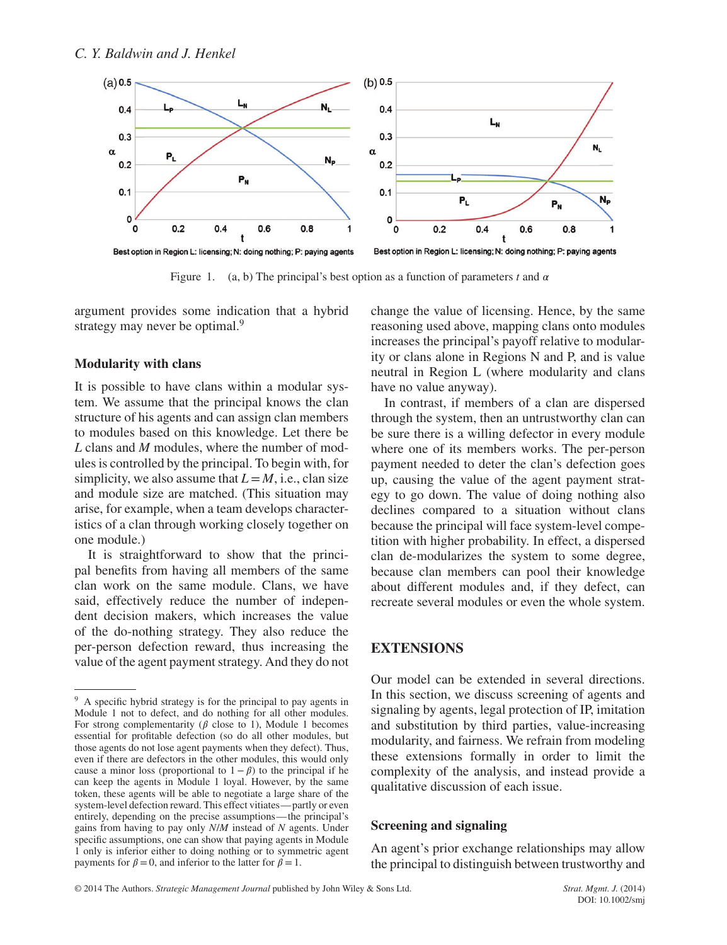

Figure 1. (a, b) The principal's best option as a function of parameters  $t$  and  $\alpha$ 

argument provides some indication that a hybrid strategy may never be optimal.<sup>9</sup>

#### **Modularity with clans**

It is possible to have clans within a modular system. We assume that the principal knows the clan structure of his agents and can assign clan members to modules based on this knowledge. Let there be *L* clans and *M* modules, where the number of modules is controlled by the principal. To begin with, for simplicity, we also assume that  $L = M$ , i.e., clan size and module size are matched. (This situation may arise, for example, when a team develops characteristics of a clan through working closely together on one module.)

It is straightforward to show that the principal benefits from having all members of the same clan work on the same module. Clans, we have said, effectively reduce the number of independent decision makers, which increases the value of the do-nothing strategy. They also reduce the per-person defection reward, thus increasing the value of the agent payment strategy. And they do not

change the value of licensing. Hence, by the same reasoning used above, mapping clans onto modules increases the principal's payoff relative to modularity or clans alone in Regions N and P, and is value neutral in Region L (where modularity and clans have no value anyway).

In contrast, if members of a clan are dispersed through the system, then an untrustworthy clan can be sure there is a willing defector in every module where one of its members works. The per-person payment needed to deter the clan's defection goes up, causing the value of the agent payment strategy to go down. The value of doing nothing also declines compared to a situation without clans because the principal will face system-level competition with higher probability. In effect, a dispersed clan de-modularizes the system to some degree, because clan members can pool their knowledge about different modules and, if they defect, can recreate several modules or even the whole system.

# **EXTENSIONS**

Our model can be extended in several directions. In this section, we discuss screening of agents and signaling by agents, legal protection of IP, imitation and substitution by third parties, value-increasing modularity, and fairness. We refrain from modeling these extensions formally in order to limit the complexity of the analysis, and instead provide a qualitative discussion of each issue.

## **Screening and signaling**

An agent's prior exchange relationships may allow the principal to distinguish between trustworthy and

<sup>&</sup>lt;sup>9</sup> A specific hybrid strategy is for the principal to pay agents in Module 1 not to defect, and do nothing for all other modules. For strong complementarity ( $\beta$  close to 1), Module 1 becomes essential for profitable defection (so do all other modules, but those agents do not lose agent payments when they defect). Thus, even if there are defectors in the other modules, this would only cause a minor loss (proportional to  $1-\beta$ ) to the principal if he can keep the agents in Module 1 loyal. However, by the same token, these agents will be able to negotiate a large share of the system-level defection reward. This effect vitiates—partly or even entirely, depending on the precise assumptions—the principal's gains from having to pay only *N*/*M* instead of *N* agents. Under specific assumptions, one can show that paying agents in Module 1 only is inferior either to doing nothing or to symmetric agent payments for  $\beta = 0$ , and inferior to the latter for  $\beta = 1$ .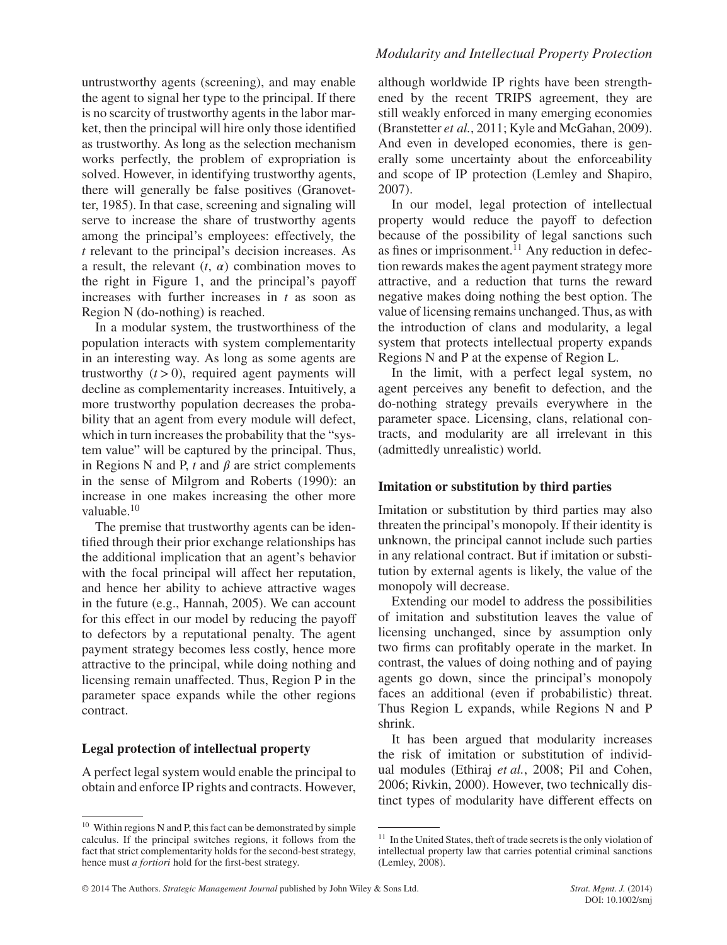untrustworthy agents (screening), and may enable the agent to signal her type to the principal. If there is no scarcity of trustworthy agents in the labor market, then the principal will hire only those identified as trustworthy. As long as the selection mechanism works perfectly, the problem of expropriation is solved. However, in identifying trustworthy agents, there will generally be false positives (Granovetter, 1985). In that case, screening and signaling will serve to increase the share of trustworthy agents among the principal's employees: effectively, the *t* relevant to the principal's decision increases. As a result, the relevant  $(t, \alpha)$  combination moves to the right in Figure 1, and the principal's payoff increases with further increases in *t* as soon as Region N (do-nothing) is reached.

In a modular system, the trustworthiness of the population interacts with system complementarity in an interesting way. As long as some agents are trustworthy  $(t > 0)$ , required agent payments will decline as complementarity increases. Intuitively, a more trustworthy population decreases the probability that an agent from every module will defect, which in turn increases the probability that the "system value" will be captured by the principal. Thus, in Regions N and P,  $t$  and  $\beta$  are strict complements in the sense of Milgrom and Roberts (1990): an increase in one makes increasing the other more valuable. $^{10}$ 

The premise that trustworthy agents can be identified through their prior exchange relationships has the additional implication that an agent's behavior with the focal principal will affect her reputation, and hence her ability to achieve attractive wages in the future (e.g., Hannah, 2005). We can account for this effect in our model by reducing the payoff to defectors by a reputational penalty. The agent payment strategy becomes less costly, hence more attractive to the principal, while doing nothing and licensing remain unaffected. Thus, Region P in the parameter space expands while the other regions contract.

## **Legal protection of intellectual property**

A perfect legal system would enable the principal to obtain and enforce IP rights and contracts. However,

## *Modularity and Intellectual Property Protection*

although worldwide IP rights have been strengthened by the recent TRIPS agreement, they are still weakly enforced in many emerging economies (Branstetter *et al.*, 2011; Kyle and McGahan, 2009). And even in developed economies, there is generally some uncertainty about the enforceability and scope of IP protection (Lemley and Shapiro, 2007).

In our model, legal protection of intellectual property would reduce the payoff to defection because of the possibility of legal sanctions such as fines or imprisonment.<sup>11</sup> Any reduction in defection rewards makes the agent payment strategy more attractive, and a reduction that turns the reward negative makes doing nothing the best option. The value of licensing remains unchanged. Thus, as with the introduction of clans and modularity, a legal system that protects intellectual property expands Regions N and P at the expense of Region L.

In the limit, with a perfect legal system, no agent perceives any benefit to defection, and the do-nothing strategy prevails everywhere in the parameter space. Licensing, clans, relational contracts, and modularity are all irrelevant in this (admittedly unrealistic) world.

#### **Imitation or substitution by third parties**

Imitation or substitution by third parties may also threaten the principal's monopoly. If their identity is unknown, the principal cannot include such parties in any relational contract. But if imitation or substitution by external agents is likely, the value of the monopoly will decrease.

Extending our model to address the possibilities of imitation and substitution leaves the value of licensing unchanged, since by assumption only two firms can profitably operate in the market. In contrast, the values of doing nothing and of paying agents go down, since the principal's monopoly faces an additional (even if probabilistic) threat. Thus Region L expands, while Regions N and P shrink.

It has been argued that modularity increases the risk of imitation or substitution of individual modules (Ethiraj *et al.*, 2008; Pil and Cohen, 2006; Rivkin, 2000). However, two technically distinct types of modularity have different effects on

<sup>&</sup>lt;sup>10</sup> Within regions N and P, this fact can be demonstrated by simple calculus. If the principal switches regions, it follows from the fact that strict complementarity holds for the second-best strategy, hence must *a fortiori* hold for the first-best strategy.

<sup>&</sup>lt;sup>11</sup> In the United States, theft of trade secrets is the only violation of intellectual property law that carries potential criminal sanctions (Lemley, 2008).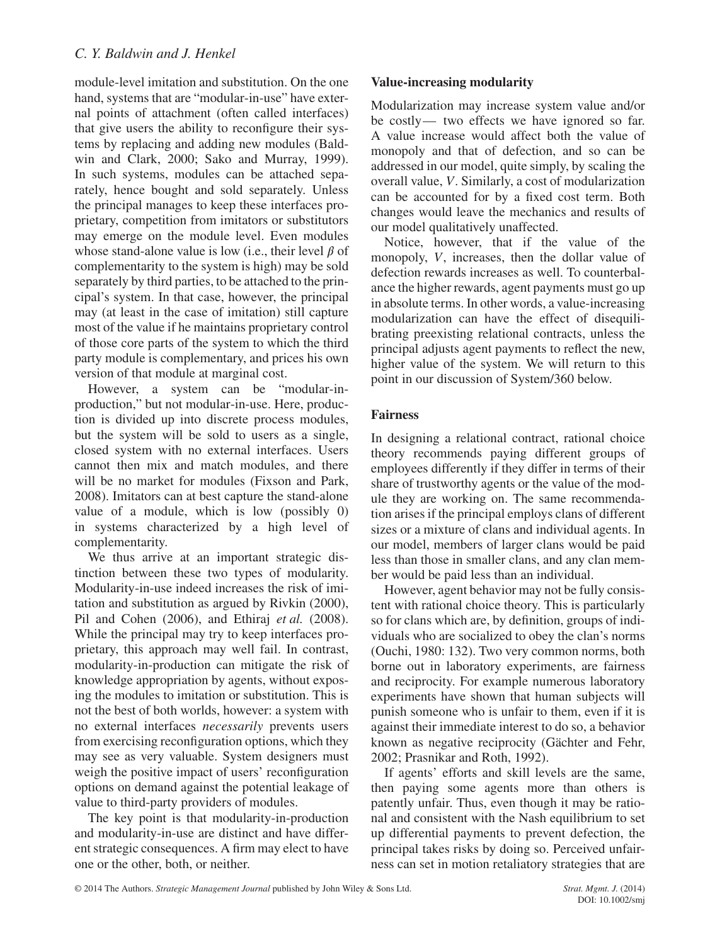module-level imitation and substitution. On the one hand, systems that are "modular-in-use" have external points of attachment (often called interfaces) that give users the ability to reconfigure their systems by replacing and adding new modules (Baldwin and Clark, 2000; Sako and Murray, 1999). In such systems, modules can be attached separately, hence bought and sold separately. Unless the principal manages to keep these interfaces proprietary, competition from imitators or substitutors may emerge on the module level. Even modules whose stand-alone value is low (i.e., their level  $\beta$  of complementarity to the system is high) may be sold separately by third parties, to be attached to the principal's system. In that case, however, the principal may (at least in the case of imitation) still capture most of the value if he maintains proprietary control of those core parts of the system to which the third party module is complementary, and prices his own version of that module at marginal cost.

However, a system can be "modular-inproduction," but not modular-in-use. Here, production is divided up into discrete process modules, but the system will be sold to users as a single, closed system with no external interfaces. Users cannot then mix and match modules, and there will be no market for modules (Fixson and Park, 2008). Imitators can at best capture the stand-alone value of a module, which is low (possibly 0) in systems characterized by a high level of complementarity.

We thus arrive at an important strategic distinction between these two types of modularity. Modularity-in-use indeed increases the risk of imitation and substitution as argued by Rivkin (2000), Pil and Cohen (2006), and Ethiraj *et al.* (2008). While the principal may try to keep interfaces proprietary, this approach may well fail. In contrast, modularity-in-production can mitigate the risk of knowledge appropriation by agents, without exposing the modules to imitation or substitution. This is not the best of both worlds, however: a system with no external interfaces *necessarily* prevents users from exercising reconfiguration options, which they may see as very valuable. System designers must weigh the positive impact of users' reconfiguration options on demand against the potential leakage of value to third-party providers of modules.

The key point is that modularity-in-production and modularity-in-use are distinct and have different strategic consequences. A firm may elect to have one or the other, both, or neither.

## **Value-increasing modularity**

Modularization may increase system value and/or be costly— two effects we have ignored so far. A value increase would affect both the value of monopoly and that of defection, and so can be addressed in our model, quite simply, by scaling the overall value, *V*. Similarly, a cost of modularization can be accounted for by a fixed cost term. Both changes would leave the mechanics and results of our model qualitatively unaffected.

Notice, however, that if the value of the monopoly, *V*, increases, then the dollar value of defection rewards increases as well. To counterbalance the higher rewards, agent payments must go up in absolute terms. In other words, a value-increasing modularization can have the effect of disequilibrating preexisting relational contracts, unless the principal adjusts agent payments to reflect the new, higher value of the system. We will return to this point in our discussion of System/360 below.

## **Fairness**

In designing a relational contract, rational choice theory recommends paying different groups of employees differently if they differ in terms of their share of trustworthy agents or the value of the module they are working on. The same recommendation arises if the principal employs clans of different sizes or a mixture of clans and individual agents. In our model, members of larger clans would be paid less than those in smaller clans, and any clan member would be paid less than an individual.

However, agent behavior may not be fully consistent with rational choice theory. This is particularly so for clans which are, by definition, groups of individuals who are socialized to obey the clan's norms (Ouchi, 1980: 132). Two very common norms, both borne out in laboratory experiments, are fairness and reciprocity. For example numerous laboratory experiments have shown that human subjects will punish someone who is unfair to them, even if it is against their immediate interest to do so, a behavior known as negative reciprocity (Gächter and Fehr, 2002; Prasnikar and Roth, 1992).

If agents' efforts and skill levels are the same, then paying some agents more than others is patently unfair. Thus, even though it may be rational and consistent with the Nash equilibrium to set up differential payments to prevent defection, the principal takes risks by doing so. Perceived unfairness can set in motion retaliatory strategies that are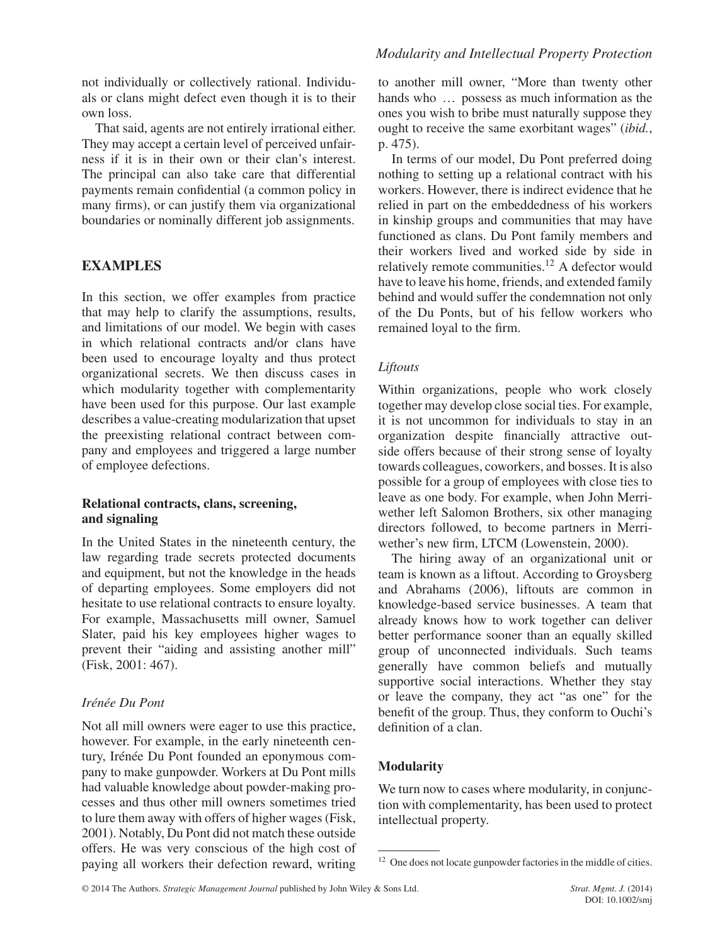not individually or collectively rational. Individuals or clans might defect even though it is to their own loss.

That said, agents are not entirely irrational either. They may accept a certain level of perceived unfairness if it is in their own or their clan's interest. The principal can also take care that differential payments remain confidential (a common policy in many firms), or can justify them via organizational boundaries or nominally different job assignments.

# **EXAMPLES**

In this section, we offer examples from practice that may help to clarify the assumptions, results, and limitations of our model. We begin with cases in which relational contracts and/or clans have been used to encourage loyalty and thus protect organizational secrets. We then discuss cases in which modularity together with complementarity have been used for this purpose. Our last example describes a value-creating modularization that upset the preexisting relational contract between company and employees and triggered a large number of employee defections.

## **Relational contracts, clans, screening, and signaling**

In the United States in the nineteenth century, the law regarding trade secrets protected documents and equipment, but not the knowledge in the heads of departing employees. Some employers did not hesitate to use relational contracts to ensure loyalty. For example, Massachusetts mill owner, Samuel Slater, paid his key employees higher wages to prevent their "aiding and assisting another mill" (Fisk, 2001: 467).

## *Irénée Du Pont*

Not all mill owners were eager to use this practice, however. For example, in the early nineteenth century, Irénée Du Pont founded an eponymous company to make gunpowder. Workers at Du Pont mills had valuable knowledge about powder-making processes and thus other mill owners sometimes tried to lure them away with offers of higher wages (Fisk, 2001). Notably, Du Pont did not match these outside offers. He was very conscious of the high cost of paying all workers their defection reward, writing to another mill owner, "More than twenty other hands who ... possess as much information as the ones you wish to bribe must naturally suppose they ought to receive the same exorbitant wages" (*ibid.*, p. 475).

In terms of our model, Du Pont preferred doing nothing to setting up a relational contract with his workers. However, there is indirect evidence that he relied in part on the embeddedness of his workers in kinship groups and communities that may have functioned as clans. Du Pont family members and their workers lived and worked side by side in relatively remote communities.<sup>12</sup> A defector would have to leave his home, friends, and extended family behind and would suffer the condemnation not only of the Du Ponts, but of his fellow workers who remained loyal to the firm.

# *Liftouts*

Within organizations, people who work closely together may develop close social ties. For example, it is not uncommon for individuals to stay in an organization despite financially attractive outside offers because of their strong sense of loyalty towards colleagues, coworkers, and bosses. It is also possible for a group of employees with close ties to leave as one body. For example, when John Merriwether left Salomon Brothers, six other managing directors followed, to become partners in Merriwether's new firm, LTCM (Lowenstein, 2000).

The hiring away of an organizational unit or team is known as a liftout. According to Groysberg and Abrahams (2006), liftouts are common in knowledge-based service businesses. A team that already knows how to work together can deliver better performance sooner than an equally skilled group of unconnected individuals. Such teams generally have common beliefs and mutually supportive social interactions. Whether they stay or leave the company, they act "as one" for the benefit of the group. Thus, they conform to Ouchi's definition of a clan.

# **Modularity**

We turn now to cases where modularity, in conjunction with complementarity, has been used to protect intellectual property.

<sup>&</sup>lt;sup>12</sup> One does not locate gunpowder factories in the middle of cities.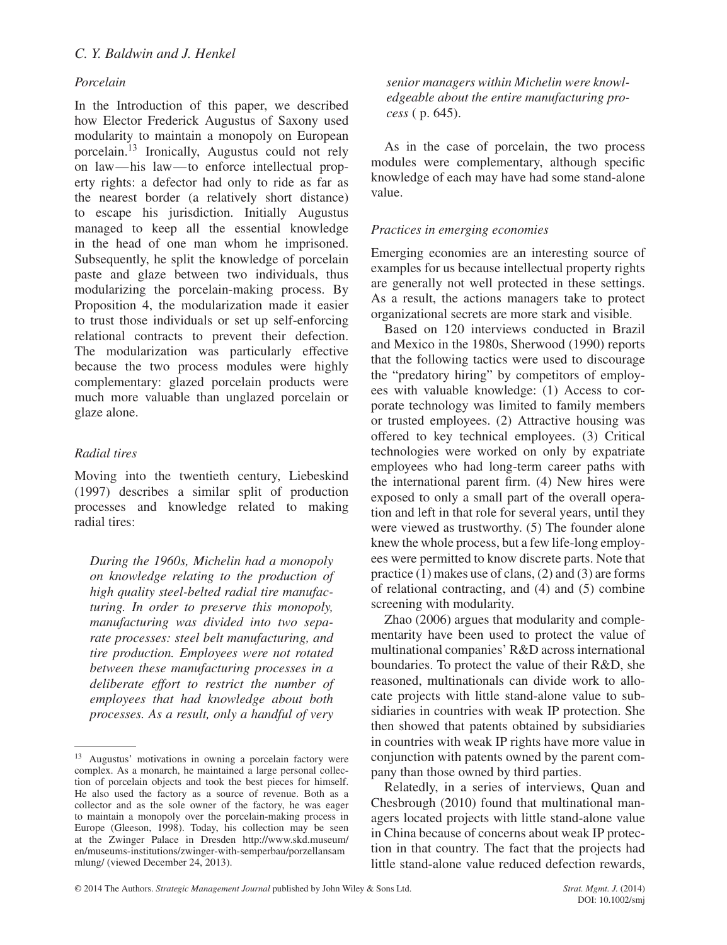# *Porcelain*

In the Introduction of this paper, we described how Elector Frederick Augustus of Saxony used modularity to maintain a monopoly on European porcelain.<sup>13</sup> Ironically, Augustus could not rely on law—his law—to enforce intellectual property rights: a defector had only to ride as far as the nearest border (a relatively short distance) to escape his jurisdiction. Initially Augustus managed to keep all the essential knowledge in the head of one man whom he imprisoned. Subsequently, he split the knowledge of porcelain paste and glaze between two individuals, thus modularizing the porcelain-making process. By Proposition 4, the modularization made it easier to trust those individuals or set up self-enforcing relational contracts to prevent their defection. The modularization was particularly effective because the two process modules were highly complementary: glazed porcelain products were much more valuable than unglazed porcelain or glaze alone.

# *Radial tires*

Moving into the twentieth century, Liebeskind (1997) describes a similar split of production processes and knowledge related to making radial tires:

*During the 1960s, Michelin had a monopoly on knowledge relating to the production of high quality steel-belted radial tire manufacturing. In order to preserve this monopoly, manufacturing was divided into two separate processes: steel belt manufacturing, and tire production. Employees were not rotated between these manufacturing processes in a deliberate effort to restrict the number of employees that had knowledge about both processes. As a result, only a handful of very*

*senior managers within Michelin were knowledgeable about the entire manufacturing process* ( p. 645).

As in the case of porcelain, the two process modules were complementary, although specific knowledge of each may have had some stand-alone value.

# *Practices in emerging economies*

Emerging economies are an interesting source of examples for us because intellectual property rights are generally not well protected in these settings. As a result, the actions managers take to protect organizational secrets are more stark and visible.

Based on 120 interviews conducted in Brazil and Mexico in the 1980s, Sherwood (1990) reports that the following tactics were used to discourage the "predatory hiring" by competitors of employees with valuable knowledge: (1) Access to corporate technology was limited to family members or trusted employees. (2) Attractive housing was offered to key technical employees. (3) Critical technologies were worked on only by expatriate employees who had long-term career paths with the international parent firm. (4) New hires were exposed to only a small part of the overall operation and left in that role for several years, until they were viewed as trustworthy. (5) The founder alone knew the whole process, but a few life-long employees were permitted to know discrete parts. Note that practice (1) makes use of clans, (2) and (3) are forms of relational contracting, and (4) and (5) combine screening with modularity.

Zhao (2006) argues that modularity and complementarity have been used to protect the value of multinational companies' R&D across international boundaries. To protect the value of their R&D, she reasoned, multinationals can divide work to allocate projects with little stand-alone value to subsidiaries in countries with weak IP protection. She then showed that patents obtained by subsidiaries in countries with weak IP rights have more value in conjunction with patents owned by the parent company than those owned by third parties.

Relatedly, in a series of interviews, Quan and Chesbrough (2010) found that multinational managers located projects with little stand-alone value in China because of concerns about weak IP protection in that country. The fact that the projects had little stand-alone value reduced defection rewards,

<sup>13</sup> Augustus' motivations in owning a porcelain factory were complex. As a monarch, he maintained a large personal collection of porcelain objects and took the best pieces for himself. He also used the factory as a source of revenue. Both as a collector and as the sole owner of the factory, he was eager to maintain a monopoly over the porcelain-making process in Europe (Gleeson, 1998). Today, his collection may be seen at the Zwinger Palace in Dresden http://www.skd.museum/ en/museums-institutions/zwinger-with-semperbau/porzellansam mlung/ (viewed December 24, 2013).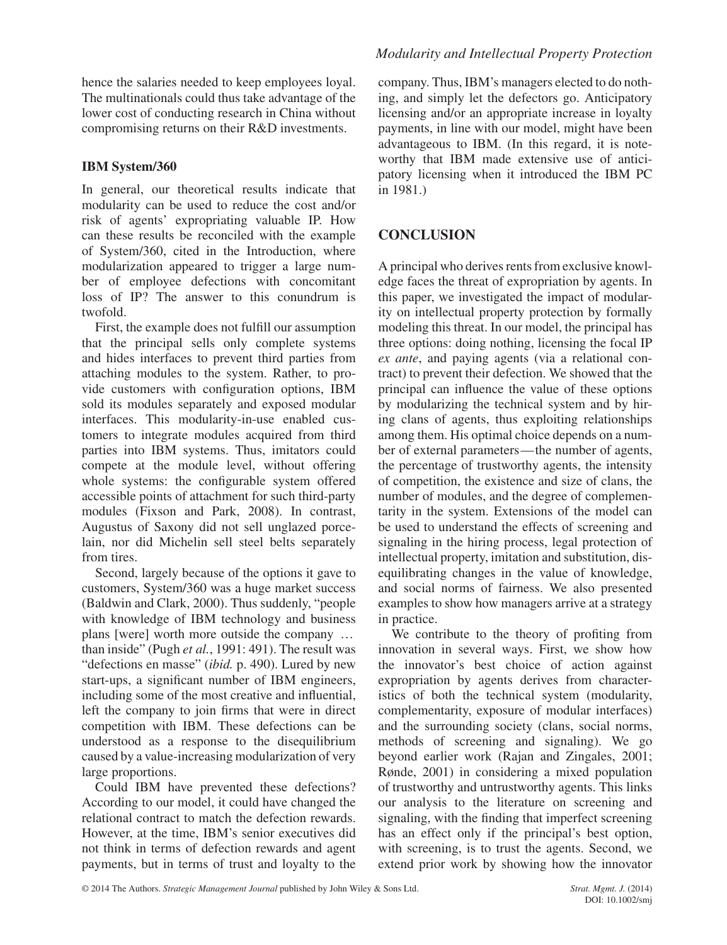hence the salaries needed to keep employees loyal. The multinationals could thus take advantage of the lower cost of conducting research in China without compromising returns on their R&D investments.

## **IBM System/360**

In general, our theoretical results indicate that modularity can be used to reduce the cost and/or risk of agents' expropriating valuable IP. How can these results be reconciled with the example of System/360, cited in the Introduction, where modularization appeared to trigger a large number of employee defections with concomitant loss of IP? The answer to this conundrum is twofold.

First, the example does not fulfill our assumption that the principal sells only complete systems and hides interfaces to prevent third parties from attaching modules to the system. Rather, to provide customers with configuration options, IBM sold its modules separately and exposed modular interfaces. This modularity-in-use enabled customers to integrate modules acquired from third parties into IBM systems. Thus, imitators could compete at the module level, without offering whole systems: the configurable system offered accessible points of attachment for such third-party modules (Fixson and Park, 2008). In contrast, Augustus of Saxony did not sell unglazed porcelain, nor did Michelin sell steel belts separately from tires.

Second, largely because of the options it gave to customers, System/360 was a huge market success (Baldwin and Clark, 2000). Thus suddenly, "people with knowledge of IBM technology and business plans [were] worth more outside the company … than inside" (Pugh *et al.*, 1991: 491). The result was "defections en masse" (*ibid.* p. 490). Lured by new start-ups, a significant number of IBM engineers, including some of the most creative and influential, left the company to join firms that were in direct competition with IBM. These defections can be understood as a response to the disequilibrium caused by a value-increasing modularization of very large proportions.

Could IBM have prevented these defections? According to our model, it could have changed the relational contract to match the defection rewards. However, at the time, IBM's senior executives did not think in terms of defection rewards and agent payments, but in terms of trust and loyalty to the

company. Thus, IBM's managers elected to do nothing, and simply let the defectors go. Anticipatory licensing and/or an appropriate increase in loyalty payments, in line with our model, might have been advantageous to IBM. (In this regard, it is noteworthy that IBM made extensive use of anticipatory licensing when it introduced the IBM PC in 1981.)

# **CONCLUSION**

A principal who derives rents from exclusive knowledge faces the threat of expropriation by agents. In this paper, we investigated the impact of modularity on intellectual property protection by formally modeling this threat. In our model, the principal has three options: doing nothing, licensing the focal IP *ex ante*, and paying agents (via a relational contract) to prevent their defection. We showed that the principal can influence the value of these options by modularizing the technical system and by hiring clans of agents, thus exploiting relationships among them. His optimal choice depends on a number of external parameters—the number of agents, the percentage of trustworthy agents, the intensity of competition, the existence and size of clans, the number of modules, and the degree of complementarity in the system. Extensions of the model can be used to understand the effects of screening and signaling in the hiring process, legal protection of intellectual property, imitation and substitution, disequilibrating changes in the value of knowledge, and social norms of fairness. We also presented examples to show how managers arrive at a strategy in practice.

We contribute to the theory of profiting from innovation in several ways. First, we show how the innovator's best choice of action against expropriation by agents derives from characteristics of both the technical system (modularity, complementarity, exposure of modular interfaces) and the surrounding society (clans, social norms, methods of screening and signaling). We go beyond earlier work (Rajan and Zingales, 2001; Rønde, 2001) in considering a mixed population of trustworthy and untrustworthy agents. This links our analysis to the literature on screening and signaling, with the finding that imperfect screening has an effect only if the principal's best option, with screening, is to trust the agents. Second, we extend prior work by showing how the innovator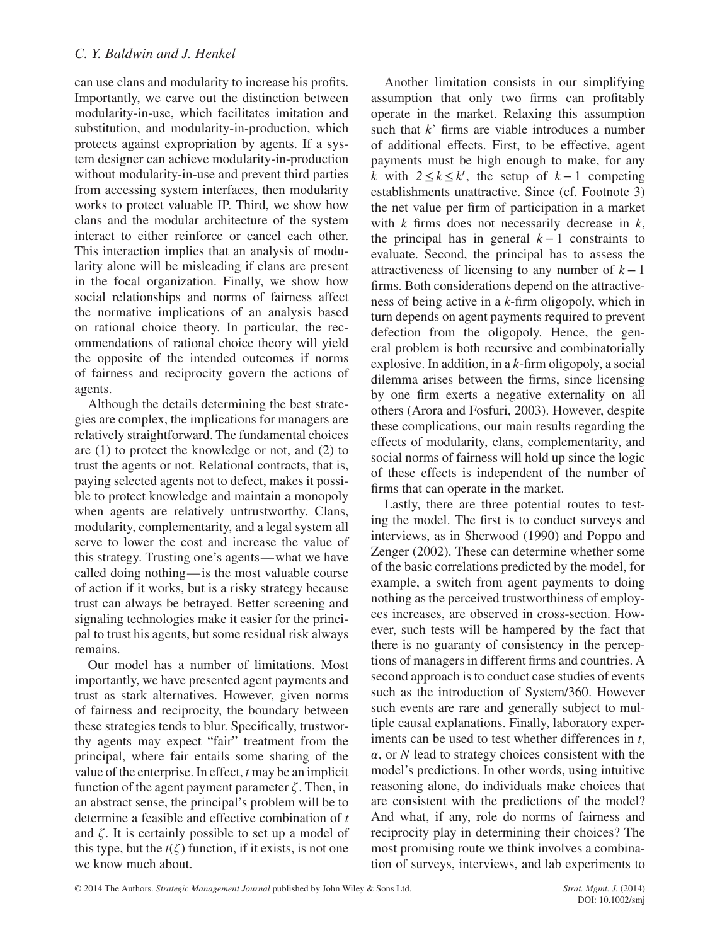can use clans and modularity to increase his profits. Importantly, we carve out the distinction between modularity-in-use, which facilitates imitation and substitution, and modularity-in-production, which protects against expropriation by agents. If a system designer can achieve modularity-in-production without modularity-in-use and prevent third parties from accessing system interfaces, then modularity works to protect valuable IP. Third, we show how clans and the modular architecture of the system interact to either reinforce or cancel each other. This interaction implies that an analysis of modularity alone will be misleading if clans are present in the focal organization. Finally, we show how social relationships and norms of fairness affect the normative implications of an analysis based on rational choice theory. In particular, the recommendations of rational choice theory will yield the opposite of the intended outcomes if norms of fairness and reciprocity govern the actions of agents.

Although the details determining the best strategies are complex, the implications for managers are relatively straightforward. The fundamental choices are (1) to protect the knowledge or not, and (2) to trust the agents or not. Relational contracts, that is, paying selected agents not to defect, makes it possible to protect knowledge and maintain a monopoly when agents are relatively untrustworthy. Clans, modularity, complementarity, and a legal system all serve to lower the cost and increase the value of this strategy. Trusting one's agents—what we have called doing nothing—is the most valuable course of action if it works, but is a risky strategy because trust can always be betrayed. Better screening and signaling technologies make it easier for the principal to trust his agents, but some residual risk always remains.

Our model has a number of limitations. Most importantly, we have presented agent payments and trust as stark alternatives. However, given norms of fairness and reciprocity, the boundary between these strategies tends to blur. Specifically, trustworthy agents may expect "fair" treatment from the principal, where fair entails some sharing of the value of the enterprise. In effect, *t* may be an implicit function of the agent payment parameter  $\zeta$ . Then, in an abstract sense, the principal's problem will be to determine a feasible and effective combination of *t* and  $\zeta$ . It is certainly possible to set up a model of this type, but the  $t(\zeta)$  function, if it exists, is not one we know much about.

Another limitation consists in our simplifying assumption that only two firms can profitably operate in the market. Relaxing this assumption such that *k*' firms are viable introduces a number of additional effects. First, to be effective, agent payments must be high enough to make, for any *k* with  $2 \le k \le k'$ , the setup of  $k-1$  competing establishments unattractive. Since (cf. Footnote 3) the net value per firm of participation in a market with *k* firms does not necessarily decrease in *k*, the principal has in general *k*−1 constraints to evaluate. Second, the principal has to assess the attractiveness of licensing to any number of *k*−1 firms. Both considerations depend on the attractiveness of being active in a *k*-firm oligopoly, which in turn depends on agent payments required to prevent defection from the oligopoly. Hence, the general problem is both recursive and combinatorially explosive. In addition, in a *k*-firm oligopoly, a social dilemma arises between the firms, since licensing by one firm exerts a negative externality on all others (Arora and Fosfuri, 2003). However, despite these complications, our main results regarding the effects of modularity, clans, complementarity, and social norms of fairness will hold up since the logic of these effects is independent of the number of firms that can operate in the market.

Lastly, there are three potential routes to testing the model. The first is to conduct surveys and interviews, as in Sherwood (1990) and Poppo and Zenger (2002). These can determine whether some of the basic correlations predicted by the model, for example, a switch from agent payments to doing nothing as the perceived trustworthiness of employees increases, are observed in cross-section. However, such tests will be hampered by the fact that there is no guaranty of consistency in the perceptions of managers in different firms and countries. A second approach is to conduct case studies of events such as the introduction of System/360. However such events are rare and generally subject to multiple causal explanations. Finally, laboratory experiments can be used to test whether differences in *t*,  $\alpha$ , or *N* lead to strategy choices consistent with the model's predictions. In other words, using intuitive reasoning alone, do individuals make choices that are consistent with the predictions of the model? And what, if any, role do norms of fairness and reciprocity play in determining their choices? The most promising route we think involves a combination of surveys, interviews, and lab experiments to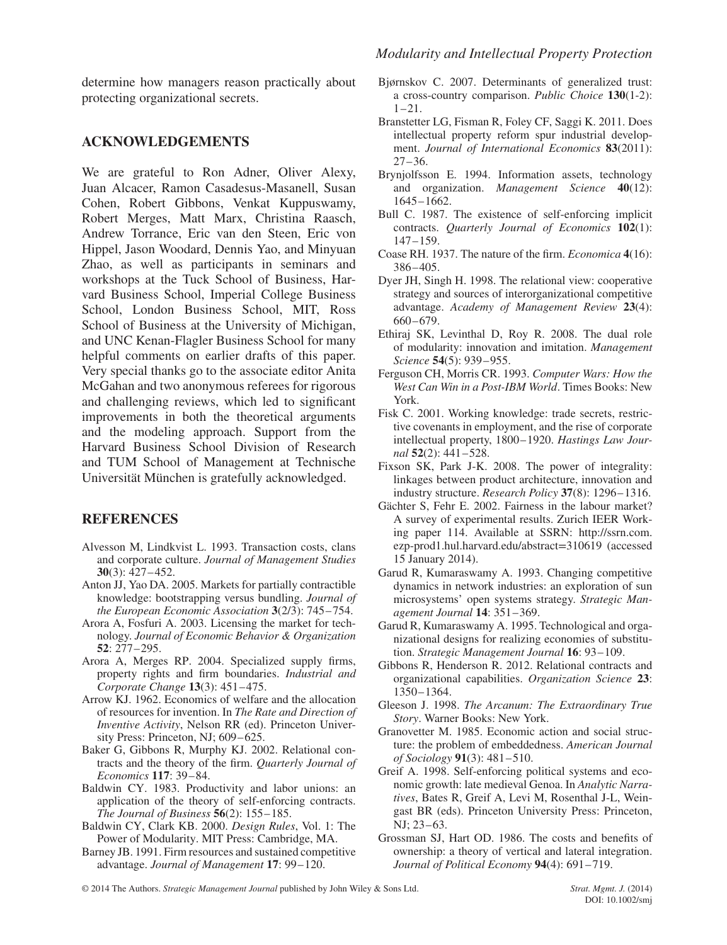determine how managers reason practically about protecting organizational secrets.

## **ACKNOWLEDGEMENTS**

We are grateful to Ron Adner, Oliver Alexy, Juan Alcacer, Ramon Casadesus-Masanell, Susan Cohen, Robert Gibbons, Venkat Kuppuswamy, Robert Merges, Matt Marx, Christina Raasch, Andrew Torrance, Eric van den Steen, Eric von Hippel, Jason Woodard, Dennis Yao, and Minyuan Zhao, as well as participants in seminars and workshops at the Tuck School of Business, Harvard Business School, Imperial College Business School, London Business School, MIT, Ross School of Business at the University of Michigan, and UNC Kenan-Flagler Business School for many helpful comments on earlier drafts of this paper. Very special thanks go to the associate editor Anita McGahan and two anonymous referees for rigorous and challenging reviews, which led to significant improvements in both the theoretical arguments and the modeling approach. Support from the Harvard Business School Division of Research and TUM School of Management at Technische Universität München is gratefully acknowledged.

# **REFERENCES**

- Alvesson M, Lindkvist L. 1993. Transaction costs, clans and corporate culture. *Journal of Management Studies* **30**(3): 427–452.
- Anton JJ, Yao DA. 2005. Markets for partially contractible knowledge: bootstrapping versus bundling. *Journal of the European Economic Association* **3**(2/3): 745–754.
- Arora A, Fosfuri A. 2003. Licensing the market for technology. *Journal of Economic Behavior & Organization* **52**: 277–295.
- Arora A, Merges RP. 2004. Specialized supply firms, property rights and firm boundaries. *Industrial and Corporate Change* **13**(3): 451–475.
- Arrow KJ. 1962. Economics of welfare and the allocation of resources for invention. In *The Rate and Direction of Inventive Activity*, Nelson RR (ed). Princeton University Press: Princeton, NJ; 609–625.
- Baker G, Gibbons R, Murphy KJ. 2002. Relational contracts and the theory of the firm. *Quarterly Journal of Economics* **117**: 39–84.
- Baldwin CY. 1983. Productivity and labor unions: an application of the theory of self-enforcing contracts. *The Journal of Business* **56**(2): 155–185.
- Baldwin CY, Clark KB. 2000. *Design Rules*, Vol. 1: The Power of Modularity. MIT Press: Cambridge, MA.
- Barney JB. 1991. Firm resources and sustained competitive advantage. *Journal of Management* **17**: 99–120.
- Bjørnskov C. 2007. Determinants of generalized trust: a cross-country comparison. *Public Choice* **130**(1-2): 1–21.
- Branstetter LG, Fisman R, Foley CF, Saggi K. 2011. Does intellectual property reform spur industrial development. *Journal of International Economics* **83**(2011):  $27 - 36.$
- Brynjolfsson E. 1994. Information assets, technology and organization. *Management Science* **40**(12): 1645–1662.
- Bull C. 1987. The existence of self-enforcing implicit contracts. *Quarterly Journal of Economics* **102**(1): 147–159.
- Coase RH. 1937. The nature of the firm. *Economica* **4**(16): 386–405.
- Dyer JH, Singh H. 1998. The relational view: cooperative strategy and sources of interorganizational competitive advantage. *Academy of Management Review* **23**(4): 660–679.
- Ethiraj SK, Levinthal D, Roy R. 2008. The dual role of modularity: innovation and imitation. *Management Science* **54**(5): 939–955.
- Ferguson CH, Morris CR. 1993. *Computer Wars: How the West Can Win in a Post-IBM World*. Times Books: New York.
- Fisk C. 2001. Working knowledge: trade secrets, restrictive covenants in employment, and the rise of corporate intellectual property, 1800–1920. *Hastings Law Journal* **52**(2): 441–528.
- Fixson SK, Park J-K. 2008. The power of integrality: linkages between product architecture, innovation and industry structure. *Research Policy* **37**(8): 1296–1316.
- Gächter S, Fehr E. 2002. Fairness in the labour market? A survey of experimental results. Zurich IEER Working paper 114. Available at SSRN: http://ssrn.com. ezp-prod1.hul.harvard.edu/abstract=310619 (accessed 15 January 2014).
- Garud R, Kumaraswamy A. 1993. Changing competitive dynamics in network industries: an exploration of sun microsystems' open systems strategy. *Strategic Management Journal* **14**: 351–369.
- Garud R, Kumaraswamy A. 1995. Technological and organizational designs for realizing economies of substitution. *Strategic Management Journal* **16**: 93–109.
- Gibbons R, Henderson R. 2012. Relational contracts and organizational capabilities. *Organization Science* **23**: 1350–1364.
- Gleeson J. 1998. *The Arcanum: The Extraordinary True Story*. Warner Books: New York.
- Granovetter M. 1985. Economic action and social structure: the problem of embeddedness. *American Journal of Sociology* **91**(3): 481–510.
- Greif A. 1998. Self-enforcing political systems and economic growth: late medieval Genoa. In *Analytic Narratives*, Bates R, Greif A, Levi M, Rosenthal J-L, Weingast BR (eds). Princeton University Press: Princeton, NJ; 23–63.
- Grossman SJ, Hart OD. 1986. The costs and benefits of ownership: a theory of vertical and lateral integration. *Journal of Political Economy* **94**(4): 691–719.
- © 2014 The Authors. *Strategic Management Journal* published by John Wiley & Sons Ltd. *Strat. Mgmt. J.* (2014)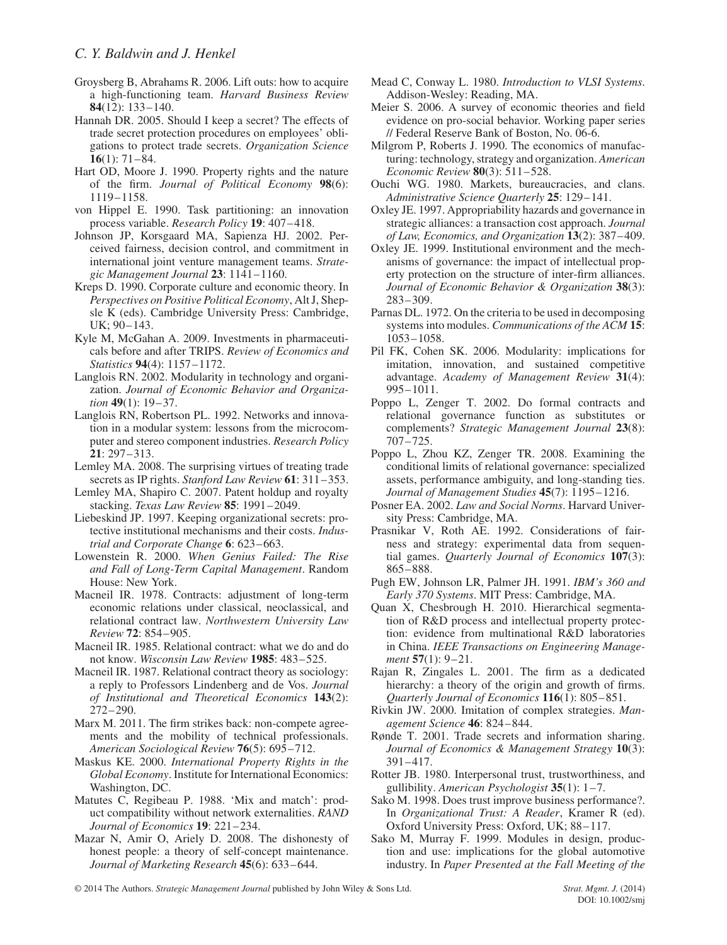- Groysberg B, Abrahams R. 2006. Lift outs: how to acquire a high-functioning team. *Harvard Business Review* **84**(12): 133–140.
- Hannah DR. 2005. Should I keep a secret? The effects of trade secret protection procedures on employees' obligations to protect trade secrets. *Organization Science* **16**(1): 71–84.
- Hart OD, Moore J. 1990. Property rights and the nature of the firm. *Journal of Political Economy* **98**(6): 1119–1158.
- von Hippel E. 1990. Task partitioning: an innovation process variable. *Research Policy* **19**: 407–418.
- Johnson JP, Korsgaard MA, Sapienza HJ. 2002. Perceived fairness, decision control, and commitment in international joint venture management teams. *Strategic Management Journal* **23**: 1141–1160.
- Kreps D. 1990. Corporate culture and economic theory. In *Perspectives on Positive Political Economy*, Alt J, Shepsle K (eds). Cambridge University Press: Cambridge, UK; 90–143.
- Kyle M, McGahan A. 2009. Investments in pharmaceuticals before and after TRIPS. *Review of Economics and Statistics* **94**(4): 1157–1172.
- Langlois RN. 2002. Modularity in technology and organization. *Journal of Economic Behavior and Organization* **49**(1): 19–37.
- Langlois RN, Robertson PL. 1992. Networks and innovation in a modular system: lessons from the microcomputer and stereo component industries. *Research Policy* **21**: 297–313.
- Lemley MA. 2008. The surprising virtues of treating trade secrets as IP rights. *Stanford Law Review* **61**: 311–353.
- Lemley MA, Shapiro C. 2007. Patent holdup and royalty stacking. *Texas Law Review* **85**: 1991–2049.
- Liebeskind JP. 1997. Keeping organizational secrets: protective institutional mechanisms and their costs. *Industrial and Corporate Change* **6**: 623–663.
- Lowenstein R. 2000. *When Genius Failed: The Rise and Fall of Long-Term Capital Management*. Random House: New York.
- Macneil IR. 1978. Contracts: adjustment of long-term economic relations under classical, neoclassical, and relational contract law. *Northwestern University Law Review* **72**: 854–905.
- Macneil IR. 1985. Relational contract: what we do and do not know. *Wisconsin Law Review* **1985**: 483–525.
- Macneil IR. 1987. Relational contract theory as sociology: a reply to Professors Lindenberg and de Vos. *Journal of Institutional and Theoretical Economics* **143**(2): 272–290.
- Marx M. 2011. The firm strikes back: non-compete agreements and the mobility of technical professionals. *American Sociological Review* **76**(5): 695–712.
- Maskus KE. 2000. *International Property Rights in the Global Economy*. Institute for International Economics: Washington, DC.
- Matutes C, Regibeau P. 1988. 'Mix and match': product compatibility without network externalities. *RAND Journal of Economics* **19**: 221–234.
- Mazar N, Amir O, Ariely D. 2008. The dishonesty of honest people: a theory of self-concept maintenance. *Journal of Marketing Research* **45**(6): 633–644.
- Mead C, Conway L. 1980. *Introduction to VLSI Systems*. Addison-Wesley: Reading, MA.
- Meier S. 2006. A survey of economic theories and field evidence on pro-social behavior. Working paper series // Federal Reserve Bank of Boston, No. 06-6.
- Milgrom P, Roberts J. 1990. The economics of manufacturing: technology, strategy and organization. *American Economic Review* **80**(3): 511–528.
- Ouchi WG. 1980. Markets, bureaucracies, and clans. *Administrative Science Quarterly* **25**: 129–141.
- Oxley JE. 1997. Appropriability hazards and governance in strategic alliances: a transaction cost approach. *Journal of Law, Economics, and Organization* **13**(2): 387–409.
- Oxley JE. 1999. Institutional environment and the mechanisms of governance: the impact of intellectual property protection on the structure of inter-firm alliances. *Journal of Economic Behavior & Organization* **38**(3): 283–309.
- Parnas DL. 1972. On the criteria to be used in decomposing systems into modules. *Communications of the ACM* **15**: 1053–1058.
- Pil FK, Cohen SK. 2006. Modularity: implications for imitation, innovation, and sustained competitive advantage. *Academy of Management Review* **31**(4): 995–1011.
- Poppo L, Zenger T. 2002. Do formal contracts and relational governance function as substitutes or complements? *Strategic Management Journal* **23**(8): 707–725.
- Poppo L, Zhou KZ, Zenger TR. 2008. Examining the conditional limits of relational governance: specialized assets, performance ambiguity, and long-standing ties. *Journal of Management Studies* **45**(7): 1195–1216.
- Posner EA. 2002. *Law and Social Norms*. Harvard University Press: Cambridge, MA.
- Prasnikar V, Roth AE. 1992. Considerations of fairness and strategy: experimental data from sequential games. *Quarterly Journal of Economics* **107**(3): 865–888.
- Pugh EW, Johnson LR, Palmer JH. 1991. *IBM's 360 and Early 370 Systems*. MIT Press: Cambridge, MA.
- Quan X, Chesbrough H. 2010. Hierarchical segmentation of R&D process and intellectual property protection: evidence from multinational R&D laboratories in China. *IEEE Transactions on Engineering Management* **57**(1): 9–21.
- Rajan R, Zingales L. 2001. The firm as a dedicated hierarchy: a theory of the origin and growth of firms. *Quarterly Journal of Economics* **116**(1): 805–851.
- Rivkin JW. 2000. Imitation of complex strategies. *Management Science* **46**: 824–844.
- Rønde T. 2001. Trade secrets and information sharing. *Journal of Economics & Management Strategy* **10**(3): 391–417.
- Rotter JB. 1980. Interpersonal trust, trustworthiness, and gullibility. *American Psychologist* **35**(1): 1–7.
- Sako M. 1998. Does trust improve business performance?. In *Organizational Trust: A Reader*, Kramer R (ed). Oxford University Press: Oxford, UK; 88–117.
- Sako M, Murray F. 1999. Modules in design, production and use: implications for the global automotive industry. In *Paper Presented at the Fall Meeting of the*

<sup>© 2014</sup> The Authors. *Strategic Management Journal* published by John Wiley & Sons Ltd. *Strat. Mgmt. J.* (2014)